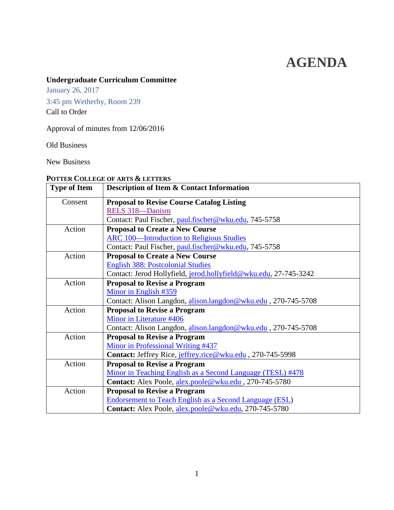# **AGENDA**

# **Undergraduate Curriculum Committee**

January 26, 2017

3:45 pm Wetherby, Room 239 Call to Order

Approval of minutes from 12/06/2016

Old Business

New Business

# <span id="page-0-1"></span>**POTTER COLLEGE OF ARTS & LETTERS**

<span id="page-0-0"></span>

| <b>Type of Item</b> | Description of Item & Contact Information                        |  |  |
|---------------------|------------------------------------------------------------------|--|--|
| Consent             | <b>Proposal to Revise Course Catalog Listing</b>                 |  |  |
|                     | RELS 318-Daoism                                                  |  |  |
|                     | Contact: Paul Fischer, paul.fischer@wku.edu, 745-5758            |  |  |
| Action              | <b>Proposal to Create a New Course</b>                           |  |  |
|                     | <b>ARC 100—Introduction to Religious Studies</b>                 |  |  |
|                     | Contact: Paul Fischer, paul.fischer@wku.edu, 745-5758            |  |  |
| Action              | <b>Proposal to Create a New Course</b>                           |  |  |
|                     | <b>English 388: Postcolonial Studies</b>                         |  |  |
|                     | Contact: Jerod Hollyfield, jerod.hollyfield@wku.edu, 27-745-3242 |  |  |
| Action              | <b>Proposal to Revise a Program</b>                              |  |  |
|                     | Minor in English #359                                            |  |  |
|                     | Contact: Alison Langdon, alison.langdon@wku.edu, 270-745-5708    |  |  |
| Action              | <b>Proposal to Revise a Program</b>                              |  |  |
|                     | Minor in Literature #406                                         |  |  |
|                     | Contact: Alison Langdon, alison.langdon@wku.edu, 270-745-5708    |  |  |
| Action              | <b>Proposal to Revise a Program</b>                              |  |  |
|                     | Minor in Professional Writing #437                               |  |  |
|                     | Contact: Jeffrey Rice, jeffrey.rice@wku.edu, 270-745-5998        |  |  |
| Action              | <b>Proposal to Revise a Program</b>                              |  |  |
|                     | Minor in Teaching English as a Second Language (TESL) #478       |  |  |
|                     | Contact: Alex Poole, alex.poole@wku.edu, 270-745-5780            |  |  |
| Action              | <b>Proposal to Revise a Program</b>                              |  |  |
|                     | <b>Endorsement to Teach English as a Second Language (ESL)</b>   |  |  |
|                     | Contact: Alex Poole, alex.poole@wku.edu, 270-745-5780            |  |  |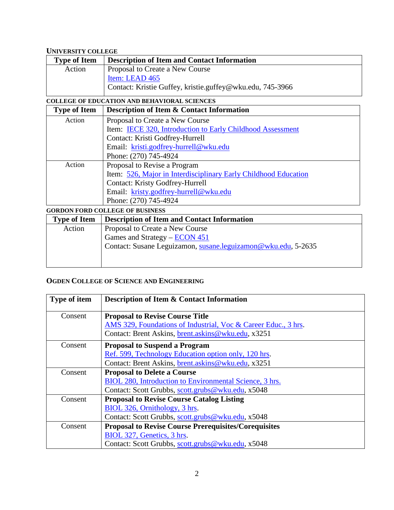# <span id="page-1-1"></span>**UNIVERSITY COLLEGE**

| <b>Type of Item</b> | <b>Description of Item and Contact Information</b>        |
|---------------------|-----------------------------------------------------------|
| Action              | Proposal to Create a New Course                           |
|                     | Item: LEAD 465                                            |
|                     | Contact: Kristie Guffey, kristie.guffey@wku.edu, 745-3966 |
|                     |                                                           |

#### <span id="page-1-2"></span>**COLLEGE OF EDUCATION AND BEHAVIORAL SCIENCES**

<span id="page-1-0"></span>

| <b>Type of Item</b> | <b>Description of Item &amp; Contact Information</b>            |  |
|---------------------|-----------------------------------------------------------------|--|
| Action              | Proposal to Create a New Course                                 |  |
|                     | Item: IECE 320, Introduction to Early Childhood Assessment      |  |
|                     | Contact: Kristi Godfrey-Hurrell                                 |  |
|                     | Email: kristi.godfrey-hurrell@wku.edu                           |  |
|                     | Phone: (270) 745-4924                                           |  |
| Action              | Proposal to Revise a Program                                    |  |
|                     | Item: 526, Major in Interdisciplinary Early Childhood Education |  |
|                     | <b>Contact: Kristy Godfrey-Hurrell</b>                          |  |
|                     | Email: kristy.godfrey-hurrell@wku.edu                           |  |
|                     | Phone: (270) 745-4924                                           |  |
|                     | <b>GORDON FORD COLLEGE OF BUSINESS</b>                          |  |

<span id="page-1-3"></span>

| <u>SONDON I OND COLLEGE OF DOORNESS</u> |                                                               |  |
|-----------------------------------------|---------------------------------------------------------------|--|
| <b>Type of Item</b>                     | <b>Description of Item and Contact Information</b>            |  |
| Action                                  | Proposal to Create a New Course                               |  |
|                                         | Games and Strategy $-$ ECON 451                               |  |
|                                         | Contact: Susane Leguizamon, susane.leguizamon@wku.edu, 5-2635 |  |
|                                         |                                                               |  |
|                                         |                                                               |  |

# <span id="page-1-4"></span>**OGDEN COLLEGE OF SCIENCE AND ENGINEERING**

| <b>Type of item</b>                                     | <b>Description of Item &amp; Contact Information</b>           |  |  |
|---------------------------------------------------------|----------------------------------------------------------------|--|--|
| Consent                                                 | <b>Proposal to Revise Course Title</b>                         |  |  |
|                                                         | AMS 329, Foundations of Industrial, Voc & Career Educ., 3 hrs. |  |  |
|                                                         | Contact: Brent Askins, brent.askins@wku.edu, x3251             |  |  |
| Consent                                                 | <b>Proposal to Suspend a Program</b>                           |  |  |
|                                                         | Ref. 599, Technology Education option only, 120 hrs.           |  |  |
|                                                         | Contact: Brent Askins, brent.askins@wku.edu, x3251             |  |  |
| Consent                                                 | <b>Proposal to Delete a Course</b>                             |  |  |
| BIOL 280, Introduction to Environmental Science, 3 hrs. |                                                                |  |  |
|                                                         | Contact: Scott Grubbs, scott.grubs@wku.edu, x5048              |  |  |
| Consent                                                 | <b>Proposal to Revise Course Catalog Listing</b>               |  |  |
|                                                         | BIOL 326, Ornithology, 3 hrs.                                  |  |  |
|                                                         | Contact: Scott Grubbs, scott.grubs@wku.edu, x5048              |  |  |
| Consent                                                 | <b>Proposal to Revise Course Prerequisites/Corequisites</b>    |  |  |
|                                                         | BIOL 327, Genetics, 3 hrs.                                     |  |  |
|                                                         | Contact: Scott Grubbs, scott.grubs@wku.edu, x5048              |  |  |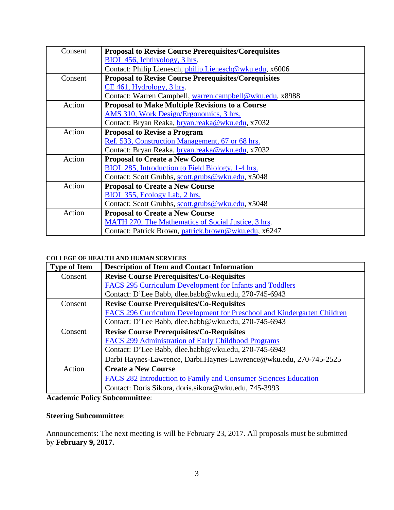<span id="page-2-0"></span>

| Consent | <b>Proposal to Revise Course Prerequisites/Corequisites</b> |  |  |
|---------|-------------------------------------------------------------|--|--|
|         | BIOL 456, Ichthyology, 3 hrs.                               |  |  |
|         | Contact: Philip Lienesch, philip.Lienesch@wku.edu, x6006    |  |  |
| Consent | <b>Proposal to Revise Course Prerequisites/Corequisites</b> |  |  |
|         | CE 461, Hydrology, 3 hrs.                                   |  |  |
|         | Contact: Warren Campbell, warren.campbell@wku.edu, x8988    |  |  |
| Action  | <b>Proposal to Make Multiple Revisions to a Course</b>      |  |  |
|         | AMS 310, Work Design/Ergonomics, 3 hrs.                     |  |  |
|         | Contact: Bryan Reaka, bryan.reaka@wku.edu, x7032            |  |  |
| Action  | <b>Proposal to Revise a Program</b>                         |  |  |
|         | Ref. 533, Construction Management, 67 or 68 hrs.            |  |  |
|         | Contact: Bryan Reaka, bryan.reaka@wku.edu, x7032            |  |  |
| Action  | <b>Proposal to Create a New Course</b>                      |  |  |
|         | BIOL 285, Introduction to Field Biology, 1-4 hrs.           |  |  |
|         | Contact: Scott Grubbs, scott.grubs@wku.edu, x5048           |  |  |
| Action  | <b>Proposal to Create a New Course</b>                      |  |  |
|         | BIOL 355, Ecology Lab, 2 hrs.                               |  |  |
|         | Contact: Scott Grubbs, scott.grubs@wku.edu, x5048           |  |  |
| Action  | <b>Proposal to Create a New Course</b>                      |  |  |
|         | MATH 270, The Mathematics of Social Justice, 3 hrs.         |  |  |
|         | Contact: Patrick Brown, patrick.brown@wku.edu, x6247        |  |  |

#### <span id="page-2-1"></span>**COLLEGE OF HEALTH AND HUMAN SERVICES**

| <b>Type of Item</b> | <b>Description of Item and Contact Information</b>                      |  |  |
|---------------------|-------------------------------------------------------------------------|--|--|
| Consent             | <b>Revise Course Prerequisites/Co-Requisites</b>                        |  |  |
|                     | FACS 295 Curriculum Development for Infants and Toddlers                |  |  |
|                     | Contact: D'Lee Babb, dlee.babb@wku.edu, 270-745-6943                    |  |  |
| Consent             | <b>Revise Course Prerequisites/Co-Requisites</b>                        |  |  |
|                     | FACS 296 Curriculum Development for Preschool and Kindergarten Children |  |  |
|                     | Contact: D'Lee Babb, dlee.babb@wku.edu, 270-745-6943                    |  |  |
| Consent             | <b>Revise Course Prerequisites/Co-Requisites</b>                        |  |  |
|                     | FACS 299 Administration of Early Childhood Programs                     |  |  |
|                     | Contact: D'Lee Babb, dlee.babb@wku.edu, 270-745-6943                    |  |  |
|                     | Darbi Haynes-Lawrence, Darbi.Haynes-Lawrence@wku.edu, 270-745-2525      |  |  |
| Action              | <b>Create a New Course</b>                                              |  |  |
|                     | FACS 282 Introduction to Family and Consumer Sciences Education         |  |  |
|                     | Contact: Doris Sikora, doris.sikora@wku.edu, 745-3993                   |  |  |

# **Academic Policy Subcommittee**:

# **Steering Subcommittee**:

Announcements: The next meeting is will be February 23, 2017. All proposals must be submitted by **February 9, 2017.**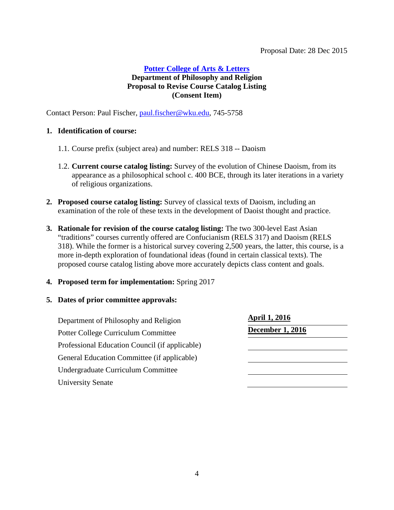# <span id="page-3-0"></span>**[Potter College of Arts & Letters](#page-0-1) Department of Philosophy and Religion Proposal to Revise Course Catalog Listing (Consent Item)**

Contact Person: Paul Fischer, [paul.fischer@wku.edu,](mailto:paul.fischer@wku.edu) 745-5758

#### **1. Identification of course:**

- 1.1. Course prefix (subject area) and number: RELS 318 -- Daoism
- 1.2. **Current course catalog listing:** Survey of the evolution of Chinese Daoism, from its appearance as a philosophical school c. 400 BCE, through its later iterations in a variety of religious organizations.
- **2. Proposed course catalog listing:** Survey of classical texts of Daoism, including an examination of the role of these texts in the development of Daoist thought and practice.
- **3. Rationale for revision of the course catalog listing:** The two 300-level East Asian "traditions" courses currently offered are Confucianism (RELS 317) and Daoism (RELS 318). While the former is a historical survey covering 2,500 years, the latter, this course, is a more in-depth exploration of foundational ideas (found in certain classical texts). The proposed course catalog listing above more accurately depicts class content and goals.
- **4. Proposed term for implementation:** Spring 2017

| Department of Philosophy and Religion          | <b>April 1, 2016</b>    |
|------------------------------------------------|-------------------------|
| Potter College Curriculum Committee            | <b>December 1, 2016</b> |
| Professional Education Council (if applicable) |                         |
| General Education Committee (if applicable)    |                         |
| Undergraduate Curriculum Committee             |                         |
| <b>University Senate</b>                       |                         |
|                                                |                         |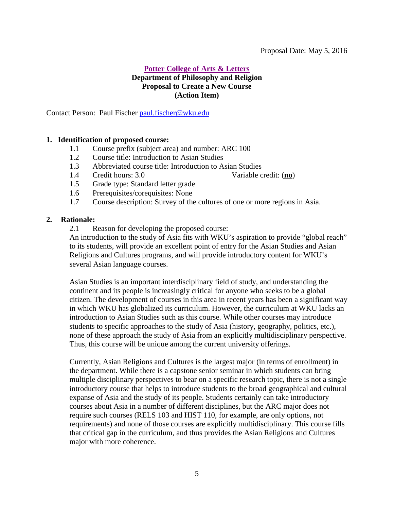#### <span id="page-4-0"></span>Proposal Date: May 5, 2016

### **[Potter College of Arts & Letters](#page-0-1) Department of Philosophy and Religion Proposal to Create a New Course (Action Item)**

Contact Person: Paul Fischer [paul.fischer@wku.edu](mailto:paul.fischer@wku.edu)

#### **1. Identification of proposed course:**

- 1.1 Course prefix (subject area) and number: ARC 100
- 1.2 Course title: Introduction to Asian Studies
- 1.3 Abbreviated course title: Introduction to Asian Studies
- 1.4 Credit hours: 3.0 Variable credit: (**no**)
- 1.5 Grade type: Standard letter grade
- 1.6 Prerequisites/corequisites: None
- 1.7 Course description: Survey of the cultures of one or more regions in Asia.

#### **2. Rationale:**

2.1 Reason for developing the proposed course:

An introduction to the study of Asia fits with WKU's aspiration to provide "global reach" to its students, will provide an excellent point of entry for the Asian Studies and Asian Religions and Cultures programs, and will provide introductory content for WKU's several Asian language courses.

Asian Studies is an important interdisciplinary field of study, and understanding the continent and its people is increasingly critical for anyone who seeks to be a global citizen. The development of courses in this area in recent years has been a significant way in which WKU has globalized its curriculum. However, the curriculum at WKU lacks an introduction to Asian Studies such as this course. While other courses may introduce students to specific approaches to the study of Asia (history, geography, politics, etc.), none of these approach the study of Asia from an explicitly multidisciplinary perspective. Thus, this course will be unique among the current university offerings.

Currently, Asian Religions and Cultures is the largest major (in terms of enrollment) in the department. While there is a capstone senior seminar in which students can bring multiple disciplinary perspectives to bear on a specific research topic, there is not a single introductory course that helps to introduce students to the broad geographical and cultural expanse of Asia and the study of its people. Students certainly can take introductory courses about Asia in a number of different disciplines, but the ARC major does not require such courses (RELS 103 and HIST 110, for example, are only options, not requirements) and none of those courses are explicitly multidisciplinary. This course fills that critical gap in the curriculum, and thus provides the Asian Religions and Cultures major with more coherence.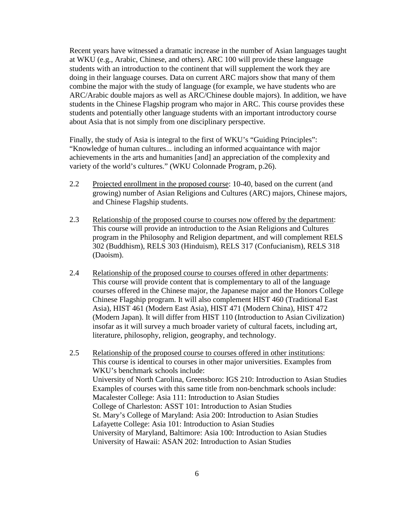Recent years have witnessed a dramatic increase in the number of Asian languages taught at WKU (e.g., Arabic, Chinese, and others). ARC 100 will provide these language students with an introduction to the continent that will supplement the work they are doing in their language courses. Data on current ARC majors show that many of them combine the major with the study of language (for example, we have students who are ARC/Arabic double majors as well as ARC/Chinese double majors). In addition, we have students in the Chinese Flagship program who major in ARC. This course provides these students and potentially other language students with an important introductory course about Asia that is not simply from one disciplinary perspective.

Finally, the study of Asia is integral to the first of WKU's "Guiding Principles": "Knowledge of human cultures... including an informed acquaintance with major achievements in the arts and humanities [and] an appreciation of the complexity and variety of the world's cultures." (WKU Colonnade Program, p.26).

- 2.2 Projected enrollment in the proposed course: 10-40, based on the current (and growing) number of Asian Religions and Cultures (ARC) majors, Chinese majors, and Chinese Flagship students.
- 2.3 Relationship of the proposed course to courses now offered by the department: This course will provide an introduction to the Asian Religions and Cultures program in the Philosophy and Religion department, and will complement RELS 302 (Buddhism), RELS 303 (Hinduism), RELS 317 (Confucianism), RELS 318 (Daoism).
- 2.4 Relationship of the proposed course to courses offered in other departments: This course will provide content that is complementary to all of the language courses offered in the Chinese major, the Japanese major and the Honors College Chinese Flagship program. It will also complement HIST 460 (Traditional East Asia), HIST 461 (Modern East Asia), HIST 471 (Modern China), HIST 472 (Modern Japan). It will differ from HIST 110 (Introduction to Asian Civilization) insofar as it will survey a much broader variety of cultural facets, including art, literature, philosophy, religion, geography, and technology.
- 2.5 Relationship of the proposed course to courses offered in other institutions: This course is identical to courses in other major universities. Examples from WKU's benchmark schools include: University of North Carolina, Greensboro: IGS 210: Introduction to Asian Studies Examples of courses with this same title from non-benchmark schools include: Macalester College: Asia 111: Introduction to Asian Studies College of Charleston: ASST 101: Introduction to Asian Studies St. Mary's College of Maryland: Asia 200: Introduction to Asian Studies Lafayette College: Asia 101: Introduction to Asian Studies University of Maryland, Baltimore: Asia 100: Introduction to Asian Studies University of Hawaii: ASAN 202: Introduction to Asian Studies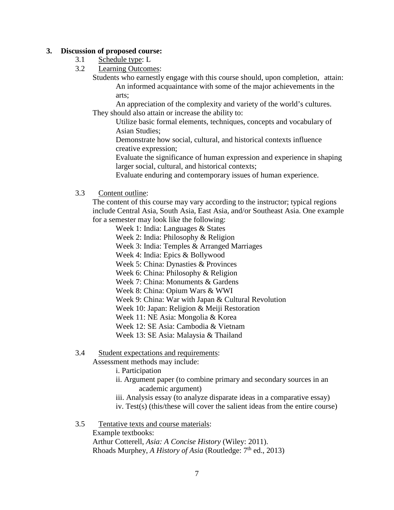#### **3. Discussion of proposed course:**

- 3.1 Schedule type: L
- 3.2 Learning Outcomes:

Students who earnestly engage with this course should, upon completion, attain: An informed acquaintance with some of the major achievements in the arts;

An appreciation of the complexity and variety of the world's cultures. They should also attain or increase the ability to:

Utilize basic formal elements, techniques, concepts and vocabulary of Asian Studies;

Demonstrate how social, cultural, and historical contexts influence creative expression;

Evaluate the significance of human expression and experience in shaping larger social, cultural, and historical contexts;

Evaluate enduring and contemporary issues of human experience.

#### 3.3 Content outline:

The content of this course may vary according to the instructor; typical regions include Central Asia, South Asia, East Asia, and/or Southeast Asia. One example for a semester may look like the following:

Week 1: India: Languages & States

- Week 2: India: Philosophy & Religion
- Week 3: India: Temples & Arranged Marriages

Week 4: India: Epics & Bollywood

Week 5: China: Dynasties & Provinces

Week 6: China: Philosophy & Religion

Week 7: China: Monuments & Gardens

Week 8: China: Opium Wars & WWI

Week 9: China: War with Japan & Cultural Revolution

Week 10: Japan: Religion & Meiji Restoration

Week 11: NE Asia: Mongolia & Korea

Week 12: SE Asia: Cambodia & Vietnam

Week 13: SE Asia: Malaysia & Thailand

#### 3.4 Student expectations and requirements:

Assessment methods may include:

i. Participation

- ii. Argument paper (to combine primary and secondary sources in an academic argument)
- iii. Analysis essay (to analyze disparate ideas in a comparative essay)
- iv. Test(s) (this/these will cover the salient ideas from the entire course)

3.5 Tentative texts and course materials:

Example textbooks: Arthur Cotterell, *Asia: A Concise History* (Wiley: 2011). Rhoads Murphey, *A History of Asia* (Routledge: 7<sup>th</sup> ed., 2013)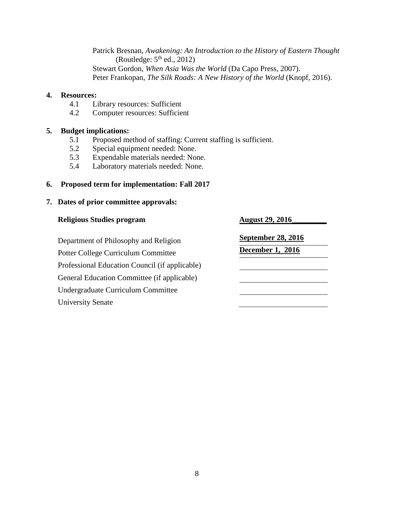Patrick Bresnan, *Awakening: An Introduction to the History of Eastern Thought* (Routledge:  $5<sup>th</sup>$  ed., 2012) Stewart Gordon, *When Asia Was the World* (Da Capo Press, 2007). Peter Frankopan, *The Silk Roads: A New History of the World* (Knopf, 2016).

#### **4. Resources:**

- 4.1 Library resources: Sufficient
- 4.2 Computer resources: Sufficient

# **5. Budget implications:**<br>5.1 **Proposed me**

- 5.1 Proposed method of staffing: Current staffing is sufficient.
- 5.2 Special equipment needed: None.
- 5.3 Expendable materials needed: None.
- 5.4 Laboratory materials needed: None.

#### **6. Proposed term for implementation: Fall 2017**

| <b>Religious Studies program</b>               | <b>August 29, 2016</b>    |
|------------------------------------------------|---------------------------|
| Department of Philosophy and Religion          | <b>September 28, 2016</b> |
| Potter College Curriculum Committee            | <b>December 1, 2016</b>   |
| Professional Education Council (if applicable) |                           |
| General Education Committee (if applicable)    |                           |
| Undergraduate Curriculum Committee             |                           |
| <b>University Senate</b>                       |                           |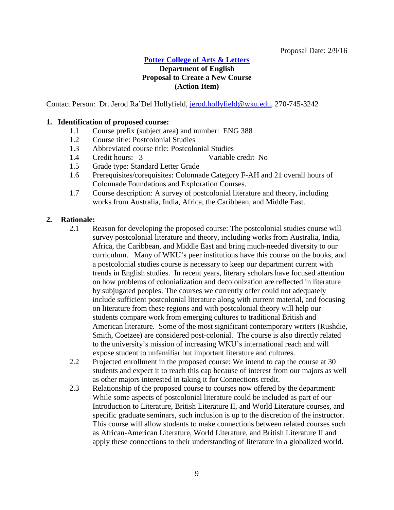#### **[Potter College of Arts & Letters](#page-0-1)**

# <span id="page-8-0"></span>**Department of English Proposal to Create a New Course (Action Item)**

Contact Person: Dr. Jerod Ra'Del Hollyfield, [jerod.hollyfield@wku.edu,](mailto:jerod.hollyfield@wku.edu) 270-745-3242

#### **1. Identification of proposed course:**

- 1.1 Course prefix (subject area) and number: ENG 388
- 1.2 Course title: Postcolonial Studies
- 1.3 Abbreviated course title: Postcolonial Studies
- 1.4 Credit hours: 3 Variable credit No
- 1.5 Grade type: Standard Letter Grade
- 1.6 Prerequisites/corequisites: Colonnade Category F-AH and 21 overall hours of Colonnade Foundations and Exploration Courses.
- 1.7 Course description: A survey of postcolonial literature and theory, including works from Australia, India, Africa, the Caribbean, and Middle East.

#### **2. Rationale:**

- 2.1 Reason for developing the proposed course: The postcolonial studies course will survey postcolonial literature and theory, including works from Australia, India, Africa, the Caribbean, and Middle East and bring much-needed diversity to our curriculum. Many of WKU's peer institutions have this course on the books, and a postcolonial studies course is necessary to keep our department current with trends in English studies. In recent years, literary scholars have focused attention on how problems of colonialization and decolonization are reflected in literature by subjugated peoples. The courses we currently offer could not adequately include sufficient postcolonial literature along with current material, and focusing on literature from these regions and with postcolonial theory will help our students compare work from emerging cultures to traditional British and American literature. Some of the most significant contemporary writers (Rushdie, Smith, Coetzee) are considered post-colonial. The course is also directly related to the university's mission of increasing WKU's international reach and will expose student to unfamiliar but important literature and cultures.
- 2.2 Projected enrollment in the proposed course: We intend to cap the course at 30 students and expect it to reach this cap because of interest from our majors as well as other majors interested in taking it for Connections credit.
- 2.3 Relationship of the proposed course to courses now offered by the department: While some aspects of postcolonial literature could be included as part of our Introduction to Literature, British Literature II, and World Literature courses, and specific graduate seminars, such inclusion is up to the discretion of the instructor. This course will allow students to make connections between related courses such as African-American Literature, World Literature, and British Literature II and apply these connections to their understanding of literature in a globalized world.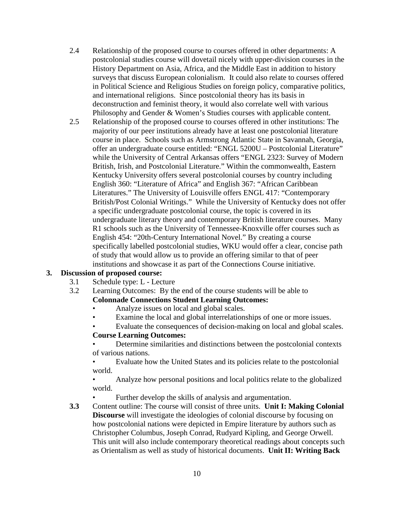- 2.4 Relationship of the proposed course to courses offered in other departments: A postcolonial studies course will dovetail nicely with upper-division courses in the History Department on Asia, Africa, and the Middle East in addition to history surveys that discuss European colonialism. It could also relate to courses offered in Political Science and Religious Studies on foreign policy, comparative politics, and international religions. Since postcolonial theory has its basis in deconstruction and feminist theory, it would also correlate well with various Philosophy and Gender & Women's Studies courses with applicable content.
- 2.5 Relationship of the proposed course to courses offered in other institutions: The majority of our peer institutions already have at least one postcolonial literature course in place. Schools such as Armstrong Atlantic State in Savannah, Georgia, offer an undergraduate course entitled: "ENGL 5200U – Postcolonial Literature" while the University of Central Arkansas offers "ENGL 2323: Survey of Modern British, Irish, and Postcolonial Literature." Within the commonwealth, Eastern Kentucky University offers several postcolonial courses by country including English 360: "Literature of Africa" and English 367: "African Caribbean Literatures." The University of Louisville offers ENGL 417: "Contemporary British/Post Colonial Writings." While the University of Kentucky does not offer a specific undergraduate postcolonial course, the topic is covered in its undergraduate literary theory and contemporary British literature courses. Many R1 schools such as the University of Tennessee-Knoxville offer courses such as English 454: "20th-Century International Novel." By creating a course specifically labelled postcolonial studies, WKU would offer a clear, concise path of study that would allow us to provide an offering similar to that of peer institutions and showcase it as part of the Connections Course initiative.

# **3. Discussion of proposed course:**

- 3.1 Schedule type: L Lecture
- 3.2 Learning Outcomes: By the end of the course students will be able to **Colonnade Connections Student Learning Outcomes:** 
	- Analyze issues on local and global scales.
	- Examine the local and global interrelationships of one or more issues.
	- Evaluate the consequences of decision-making on local and global scales.

#### **Course Learning Outcomes:**

• Determine similarities and distinctions between the postcolonial contexts of various nations.

• Evaluate how the United States and its policies relate to the postcolonial world.

• Analyze how personal positions and local politics relate to the globalized world.

Further develop the skills of analysis and argumentation.

**3.3** Content outline: The course will consist of three units. **Unit I: Making Colonial Discourse** will investigate the ideologies of colonial discourse by focusing on how postcolonial nations were depicted in Empire literature by authors such as Christopher Columbus, Joseph Conrad, Rudyard Kipling, and George Orwell. This unit will also include contemporary theoretical readings about concepts such as Orientalism as well as study of historical documents. **Unit II: Writing Back**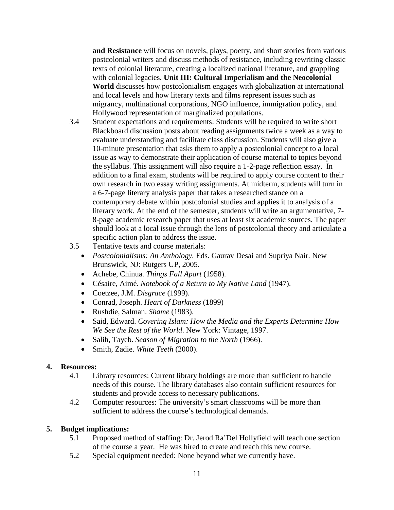**and Resistance** will focus on novels, plays, poetry, and short stories from various postcolonial writers and discuss methods of resistance, including rewriting classic texts of colonial literature, creating a localized national literature, and grappling with colonial legacies. **Unit III: Cultural Imperialism and the Neocolonial World** discusses how postcolonialism engages with globalization at international and local levels and how literary texts and films represent issues such as migrancy, multinational corporations, NGO influence, immigration policy, and Hollywood representation of marginalized populations.

- 3.4 Student expectations and requirements: Students will be required to write short Blackboard discussion posts about reading assignments twice a week as a way to evaluate understanding and facilitate class discussion. Students will also give a 10-minute presentation that asks them to apply a postcolonial concept to a local issue as way to demonstrate their application of course material to topics beyond the syllabus. This assignment will also require a 1-2-page reflection essay. In addition to a final exam, students will be required to apply course content to their own research in two essay writing assignments. At midterm, students will turn in a 6-7-page literary analysis paper that takes a researched stance on a contemporary debate within postcolonial studies and applies it to analysis of a literary work. At the end of the semester, students will write an argumentative, 7- 8-page academic research paper that uses at least six academic sources. The paper should look at a local issue through the lens of postcolonial theory and articulate a specific action plan to address the issue.
- 3.5 Tentative texts and course materials:
	- *Postcolonialisms: An Anthology.* Eds. Gaurav Desai and Supriya Nair. New Brunswick, NJ: Rutgers UP, 2005.
	- Achebe, Chinua. *Things Fall Apart* (1958).
	- Césaire, Aimé. *Notebook of a Return to My Native Land* (1947).
	- Coetzee, J.M. *Disgrace* (1999).
	- Conrad, Joseph. *Heart of Darkness* (1899)
	- Rushdie, Salman. *Shame* (1983).
	- Said, Edward. *Covering Islam: How the Media and the Experts Determine How We See the Rest of the World*. New York: Vintage, 1997.
	- Salih, Tayeb. *Season of Migration to the North* (1966).
	- Smith, Zadie. *White Teeth* (2000).

# **4. Resources:**

- 4.1 Library resources: Current library holdings are more than sufficient to handle needs of this course. The library databases also contain sufficient resources for students and provide access to necessary publications.
- 4.2 Computer resources: The university's smart classrooms will be more than sufficient to address the course's technological demands.

# **5. Budget implications:**

- 5.1 Proposed method of staffing: Dr. Jerod Ra'Del Hollyfield will teach one section of the course a year. He was hired to create and teach this new course.
- 5.2 Special equipment needed: None beyond what we currently have.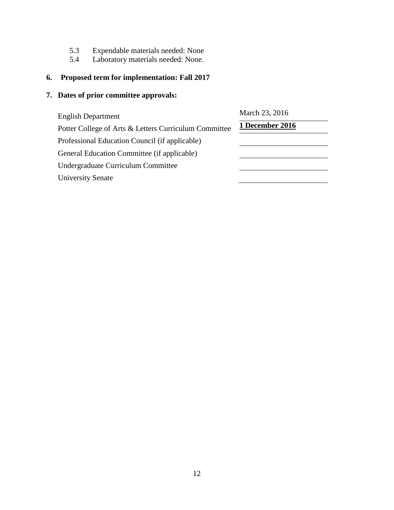- 5.3 Expendable materials needed: None<br>5.4 Laboratory materials needed: None.
- Laboratory materials needed: None.

# **6. Proposed term for implementation: Fall 2017**

| <b>English Department</b>                             | March 23, 2016  |  |
|-------------------------------------------------------|-----------------|--|
| Potter College of Arts & Letters Curriculum Committee | 1 December 2016 |  |
| Professional Education Council (if applicable)        |                 |  |
| General Education Committee (if applicable)           |                 |  |
| Undergraduate Curriculum Committee                    |                 |  |
| <b>University Senate</b>                              |                 |  |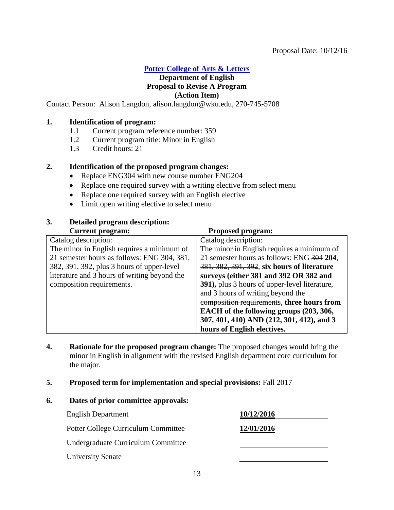#### Proposal Date: 10/12/16

# **[Potter College of Arts & Letters](#page-0-1)**

#### <span id="page-12-0"></span>**Department of English Proposal to Revise A Program (Action Item)**

Contact Person: Alison Langdon, alison.langdon@wku.edu, 270-745-5708

#### **1. Identification of program:**

- 1.1 Current program reference number: 359<br>1.2 Current program title: Minor in English
- Current program title: Minor in English
- 1.3 Credit hours: 21

#### **2. Identification of the proposed program changes:**

- Replace ENG304 with new course number ENG204
- Replace one required survey with a writing elective from select menu
- Replace one required survey with an English elective
- Limit open writing elective to select menu

# **3. Detailed program description:**

| <b>Current program:</b>                      | <b>Proposed program:</b>                      |
|----------------------------------------------|-----------------------------------------------|
| Catalog description:                         | Catalog description:                          |
| The minor in English requires a minimum of   | The minor in English requires a minimum of    |
| 21 semester hours as follows: ENG 304, 381,  | 21 semester hours as follows: ENG 304 204,    |
| 382, 391, 392, plus 3 hours of upper-level   | 381, 382, 391, 392, six hours of literature   |
| literature and 3 hours of writing beyond the | surveys (either 381 and 392 OR 382 and        |
| composition requirements.                    | 391), plus 3 hours of upper-level literature, |
|                                              | and 3 hours of writing beyond the             |
|                                              | composition requirements, three hours from    |
|                                              | EACH of the following groups (203, 306,       |
|                                              | 307, 401, 410) AND (212, 301, 412), and 3     |
|                                              | hours of English electives.                   |

- **4. Rationale for the proposed program change:** The proposed changes would bring the minor in English in alignment with the revised English department core curriculum for the major.
- **5. Proposed term for implementation and special provisions:** Fall 2017

| <b>English Department</b>           | 10/12/2016 |
|-------------------------------------|------------|
| Potter College Curriculum Committee | 12/01/2016 |
| Undergraduate Curriculum Committee  |            |
| <b>University Senate</b>            |            |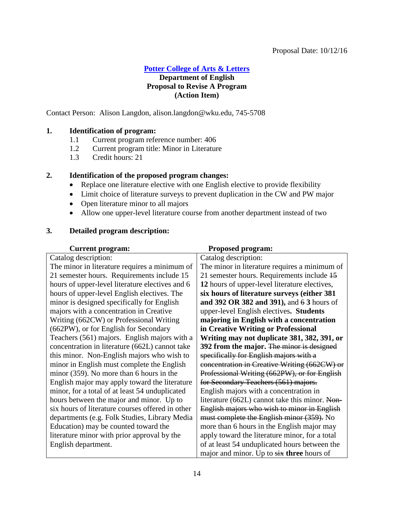#### Proposal Date: 10/12/16

# **[Potter College of Arts & Letters](#page-0-1)**

### <span id="page-13-0"></span>**Department of English Proposal to Revise A Program (Action Item)**

Contact Person: Alison Langdon, alison.langdon@wku.edu, 745-5708

#### **1. Identification of program:**

- 1.1 Current program reference number: 406
- 1.2 Current program title: Minor in Literature
- 1.3 Credit hours: 21

#### **2. Identification of the proposed program changes:**

- Replace one literature elective with one English elective to provide flexibility
- Limit choice of literature surveys to prevent duplication in the CW and PW major
- Open literature minor to all majors
- Allow one upper-level literature course from another department instead of two

#### **3. Detailed program description:**

| <b>Current program:</b>                          | <b>Proposed program:</b>                       |
|--------------------------------------------------|------------------------------------------------|
| Catalog description:                             | Catalog description:                           |
| The minor in literature requires a minimum of    | The minor in literature requires a minimum of  |
| 21 semester hours. Requirements include 15       | 21 semester hours. Requirements include 45     |
| hours of upper-level literature electives and 6  | 12 hours of upper-level literature electives,  |
| hours of upper-level English electives. The      | six hours of literature surveys (either 381    |
| minor is designed specifically for English       | and 392 OR 382 and 391), and 6 3 hours of      |
| majors with a concentration in Creative          | upper-level English electives. Students        |
| Writing (662CW) or Professional Writing          | majoring in English with a concentration       |
| (662PW), or for English for Secondary            | in Creative Writing or Professional            |
| Teachers (561) majors. English majors with a     | Writing may not duplicate 381, 382, 391, or    |
| concentration in literature (662L) cannot take   | 392 from the major. The minor is designed      |
| this minor. Non-English majors who wish to       | specifically for English majors with a         |
| minor in English must complete the English       | concentration in Creative Writing (662CW) or   |
| minor (359). No more than 6 hours in the         | Professional Writing (662PW), or for English   |
| English major may apply toward the literature    | for Secondary Teachers (561) majors.           |
| minor, for a total of at least 54 unduplicated   | English majors with a concentration in         |
| hours between the major and minor. Up to         | literature (662L) cannot take this minor. Non- |
| six hours of literature courses offered in other | English majors who wish to minor in English    |
| departments (e.g. Folk Studies, Library Media    | must complete the English minor (359). No      |
| Education) may be counted toward the             | more than 6 hours in the English major may     |
| literature minor with prior approval by the      | apply toward the literature minor, for a total |
| English department.                              | of at least 54 unduplicated hours between the  |
|                                                  | major and minor. Up to six three hours of      |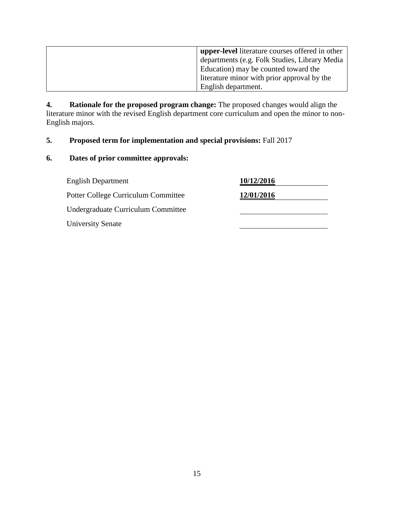| <b>upper-level</b> literature courses offered in other |
|--------------------------------------------------------|
| departments (e.g. Folk Studies, Library Media          |
| Education) may be counted toward the                   |
| literature minor with prior approval by the            |
| English department.                                    |

**4. Rationale for the proposed program change:** The proposed changes would align the literature minor with the revised English department core curriculum and open the minor to non-English majors.

# **5. Proposed term for implementation and special provisions:** Fall 2017

| <b>English Department</b>           | 10/12/2016 |
|-------------------------------------|------------|
| Potter College Curriculum Committee | 12/01/2016 |
| Undergraduate Curriculum Committee  |            |
| <b>University Senate</b>            |            |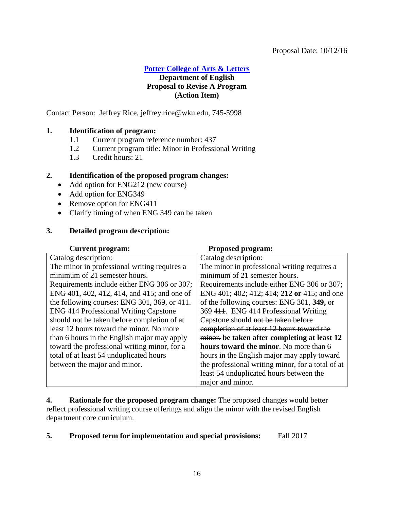#### Proposal Date: 10/12/16

**[Potter College of Arts & Letters](#page-0-1)**

# **Department of English Proposal to Revise A Program (Action Item)**

Contact Person: Jeffrey Rice, jeffrey.rice@wku.edu, 745-5998

### **1. Identification of program:**

- 1.1 Current program reference number: 437
- 1.2 Current program title: Minor in Professional Writing
- 1.3 Credit hours: 21

#### **2. Identification of the proposed program changes:**

- Add option for ENG212 (new course)
- Add option for ENG349
- Remove option for ENG411
- Clarify timing of when ENG 349 can be taken

#### **3. Detailed program description:**

| <b>Current program:</b>                      | <b>Proposed program:</b>                          |
|----------------------------------------------|---------------------------------------------------|
| Catalog description:                         | Catalog description:                              |
| The minor in professional writing requires a | The minor in professional writing requires a      |
| minimum of 21 semester hours.                | minimum of 21 semester hours.                     |
| Requirements include either ENG 306 or 307;  | Requirements include either ENG 306 or 307;       |
| ENG 401, 402, 412, 414, and 415; and one of  | ENG 401; 402; 412; 414; 212 or 415; and one       |
| the following courses: ENG 301, 369, or 411. | of the following courses: ENG 301, 349, or        |
| <b>ENG 414 Professional Writing Capstone</b> | 369 444. ENG 414 Professional Writing             |
| should not be taken before completion of at  | Capstone should not be taken before               |
| least 12 hours toward the minor. No more     | completion of at least 12 hours toward the        |
| than 6 hours in the English major may apply  | minor. be taken after completing at least 12      |
| toward the professional writing minor, for a | hours toward the minor. No more than 6            |
| total of at least 54 unduplicated hours      | hours in the English major may apply toward       |
| between the major and minor.                 | the professional writing minor, for a total of at |
|                                              | least 54 unduplicated hours between the           |
|                                              | major and minor.                                  |

**4. Rationale for the proposed program change:** The proposed changes would better reflect professional writing course offerings and align the minor with the revised English department core curriculum.

# **5. Proposed term for implementation and special provisions:** Fall 2017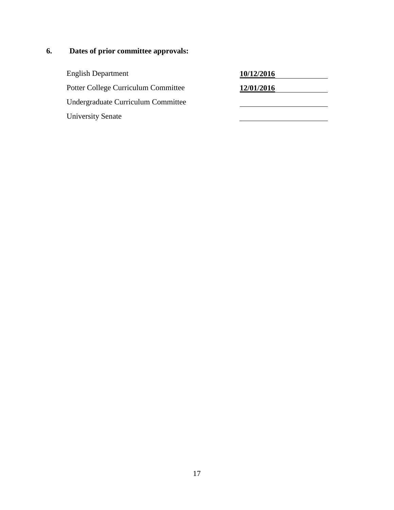# **6. Dates of prior committee approvals:**

English Department **10/12/2016** Potter College Curriculum Committee **12/01/2016** Undergraduate Curriculum Committee University Senate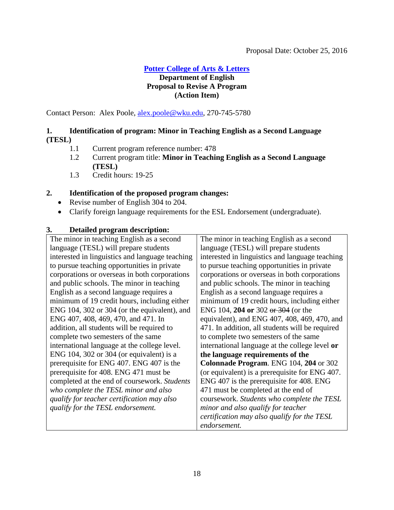# **[Potter College of Arts & Letters](#page-0-1)**

# <span id="page-17-0"></span>**Department of English Proposal to Revise A Program (Action Item)**

Contact Person: Alex Poole, [alex.poole@wku.edu,](mailto:alex.poole@wku.edu) 270-745-5780

# **1. Identification of program: Minor in Teaching English as a Second Language (TESL)**

- 1.1 Current program reference number: 478
- 1.2 Current program title: **Minor in Teaching English as a Second Language (TESL)**
- 1.3 Credit hours: 19-25

# **2. Identification of the proposed program changes:**

- Revise number of English 304 to 204.
- Clarify foreign language requirements for the ESL Endorsement (undergraduate).

# **3. Detailed program description:**

| The minor in teaching English as a second       | The minor in teaching English as a second       |
|-------------------------------------------------|-------------------------------------------------|
| language (TESL) will prepare students           | language (TESL) will prepare students           |
| interested in linguistics and language teaching | interested in linguistics and language teaching |
| to pursue teaching opportunities in private     | to pursue teaching opportunities in private     |
| corporations or overseas in both corporations   | corporations or overseas in both corporations   |
| and public schools. The minor in teaching       | and public schools. The minor in teaching       |
| English as a second language requires a         | English as a second language requires a         |
| minimum of 19 credit hours, including either    | minimum of 19 credit hours, including either    |
| ENG 104, 302 or 304 (or the equivalent), and    | ENG 104, 204 or 302 or 304 (or the              |
| ENG 407, 408, 469, 470, and 471. In             | equivalent), and ENG 407, 408, 469, 470, and    |
| addition, all students will be required to      | 471. In addition, all students will be required |
| complete two semesters of the same              | to complete two semesters of the same           |
| international language at the college level.    | international language at the college level or  |
| ENG 104, 302 or 304 (or equivalent) is a        | the language requirements of the                |
| prerequisite for ENG 407. ENG 407 is the        | Colonnade Program. ENG 104, 204 or 302          |
| prerequisite for 408. ENG 471 must be           | (or equivalent) is a prerequisite for ENG 407.  |
| completed at the end of coursework. Students    | ENG 407 is the prerequisite for 408. ENG        |
| who complete the TESL minor and also            | 471 must be completed at the end of             |
| qualify for teacher certification may also      | coursework. Students who complete the TESL      |
| qualify for the TESL endorsement.               | minor and also qualify for teacher              |
|                                                 | certification may also qualify for the TESL     |
|                                                 | endorsement.                                    |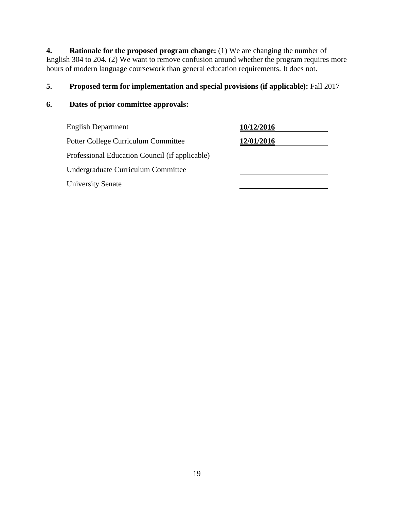**4. Rationale for the proposed program change:** (1) We are changing the number of English 304 to 204. (2) We want to remove confusion around whether the program requires more hours of modern language coursework than general education requirements. It does not.

# **5. Proposed term for implementation and special provisions (if applicable):** Fall 2017

| <b>English Department</b>                      | 10/12/2016 |
|------------------------------------------------|------------|
| Potter College Curriculum Committee            | 12/01/2016 |
| Professional Education Council (if applicable) |            |
| Undergraduate Curriculum Committee             |            |
| <b>University Senate</b>                       |            |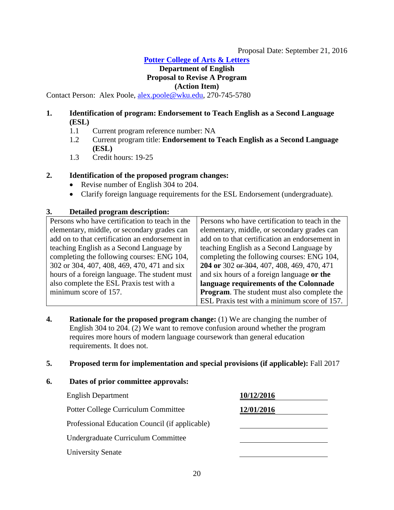**[Potter College of Arts & Letters](#page-0-1)**

# <span id="page-19-0"></span>**Department of English Proposal to Revise A Program (Action Item)**

Contact Person: Alex Poole, [alex.poole@wku.edu,](mailto:alex.poole@wku.edu) 270-745-5780

#### **1. Identification of program: Endorsement to Teach English as a Second Language (ESL)**

- 1.1 Current program reference number: NA
- 1.2 Current program title: **Endorsement to Teach English as a Second Language (ESL)**
- 1.3 Credit hours: 19-25

#### **2. Identification of the proposed program changes:**

- Revise number of English 304 to 204.
- Clarify foreign language requirements for the ESL Endorsement (undergraduate).

#### **3. Detailed program description:**

| Persons who have certification to teach in the | Persons who have certification to teach in the     |
|------------------------------------------------|----------------------------------------------------|
| elementary, middle, or secondary grades can    | elementary, middle, or secondary grades can        |
| add on to that certification an endorsement in | add on to that certification an endorsement in     |
| teaching English as a Second Language by       | teaching English as a Second Language by           |
| completing the following courses: ENG 104,     | completing the following courses: ENG 104,         |
| 302 or 304, 407, 408, 469, 470, 471 and six    | 204 or 302 or 304, 407, 408, 469, 470, 471         |
| hours of a foreign language. The student must  | and six hours of a foreign language or the         |
| also complete the ESL Praxis test with a       | language requirements of the Colonnade             |
| minimum score of 157.                          | <b>Program.</b> The student must also complete the |
|                                                | ESL Praxis test with a minimum score of 157.       |
|                                                |                                                    |

**4. Rationale for the proposed program change:** (1) We are changing the number of English 304 to 204. (2) We want to remove confusion around whether the program requires more hours of modern language coursework than general education requirements. It does not.

#### **5. Proposed term for implementation and special provisions (if applicable):** Fall 2017

| <b>English Department</b>                      | 10/12/2016 |
|------------------------------------------------|------------|
| <b>Potter College Curriculum Committee</b>     | 12/01/2016 |
| Professional Education Council (if applicable) |            |
| Undergraduate Curriculum Committee             |            |
| <b>University Senate</b>                       |            |
|                                                |            |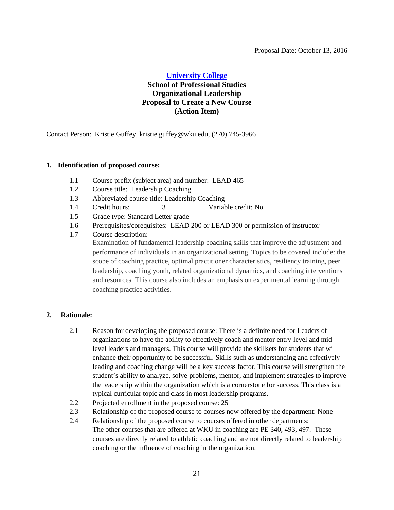#### <span id="page-20-0"></span>**[University College](#page-1-1)**

# **School of Professional Studies Organizational Leadership Proposal to Create a New Course (Action Item)**

Contact Person: Kristie Guffey, kristie.guffey@wku.edu, (270) 745-3966

#### **1. Identification of proposed course:**

- 1.1 Course prefix (subject area) and number: LEAD 465
- 1.2 Course title: Leadership Coaching
- 1.3 Abbreviated course title: Leadership Coaching
- 1.4 Credit hours: 3 Variable credit: No
- 1.5 Grade type: Standard Letter grade
- 1.6 Prerequisites/corequisites: LEAD 200 or LEAD 300 or permission of instructor
- 1.7 Course description: Examination of fundamental leadership coaching skills that improve the adjustment and performance of individuals in an organizational setting. Topics to be covered include: the scope of coaching practice, optimal practitioner characteristics, resiliency training, peer leadership, coaching youth, related organizational dynamics, and coaching interventions and resources. This course also includes an emphasis on experimental learning through coaching practice activities.

#### **2. Rationale:**

- 2.1 Reason for developing the proposed course: There is a definite need for Leaders of organizations to have the ability to effectively coach and mentor entry-level and midlevel leaders and managers. This course will provide the skillsets for students that will enhance their opportunity to be successful. Skills such as understanding and effectively leading and coaching change will be a key success factor. This course will strengthen the student's ability to analyze, solve-problems, mentor, and implement strategies to improve the leadership within the organization which is a cornerstone for success. This class is a typical curricular topic and class in most leadership programs.
- 2.2 Projected enrollment in the proposed course: 25
- 2.3 Relationship of the proposed course to courses now offered by the department: None
- 2.4 Relationship of the proposed course to courses offered in other departments: The other courses that are offered at WKU in coaching are PE 340, 493, 497. These courses are directly related to athletic coaching and are not directly related to leadership coaching or the influence of coaching in the organization.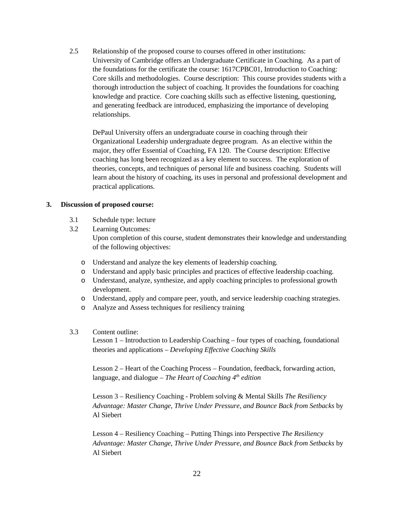2.5 Relationship of the proposed course to courses offered in other institutions: University of Cambridge offers an Undergraduate Certificate in Coaching. As a part of the foundations for the certificate the course: 1617CPBC01, Introduction to Coaching: Core skills and methodologies. Course description: This course provides students with a thorough introduction the subject of coaching. It provides the foundations for coaching knowledge and practice. Core coaching skills such as effective listening, questioning, and generating feedback are introduced, emphasizing the importance of developing relationships.

DePaul University offers an undergraduate course in coaching through their Organizational Leadership undergraduate degree program. As an elective within the major, they offer Essential of Coaching, FA 120. The Course description: Effective coaching has long been recognized as a key element to success. The exploration of theories, concepts, and techniques of personal life and business coaching. Students will learn about the history of coaching, its uses in personal and professional development and practical applications.

#### **3. Discussion of proposed course:**

- 3.1 Schedule type: lecture
- 3.2 Learning Outcomes: Upon completion of this course, student demonstrates their knowledge and understanding of the following objectives:
	- o Understand and analyze the key elements of leadership coaching.
	- o Understand and apply basic principles and practices of effective leadership coaching.
	- o Understand, analyze, synthesize, and apply coaching principles to professional growth development.
	- o Understand, apply and compare peer, youth, and service leadership coaching strategies.
	- o Analyze and Assess techniques for resiliency training

#### 3.3 Content outline:

Lesson 1 – Introduction to Leadership Coaching – four types of coaching, foundational theories and applications – *Developing Effective Coaching Skills*

Lesson 2 – Heart of the Coaching Process – Foundation, feedback, forwarding action, language, and dialogue – *The Heart of Coaching 4th edition*

Lesson 3 – Resiliency Coaching - Problem solving & Mental Skills *The Resiliency Advantage: Master Change, Thrive Under Pressure, and Bounce Back from Setbacks* by Al Siebert

Lesson 4 – Resiliency Coaching – Putting Things into Perspective *The Resiliency Advantage: Master Change, Thrive Under Pressure, and Bounce Back from Setbacks* by Al Siebert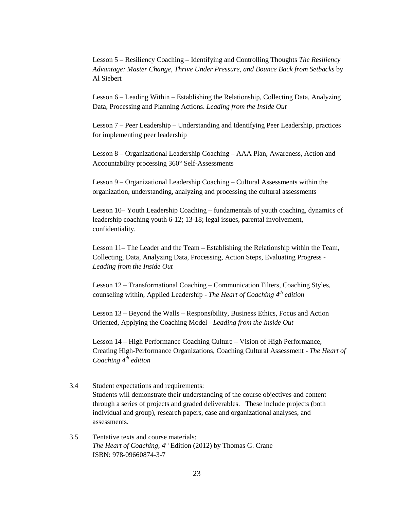Lesson 5 – Resiliency Coaching – Identifying and Controlling Thoughts *The Resiliency Advantage: Master Change, Thrive Under Pressure, and Bounce Back from Setbacks* by Al Siebert

Lesson 6 – Leading Within – Establishing the Relationship, Collecting Data, Analyzing Data, Processing and Planning Actions. *Leading from the Inside Out*

Lesson 7 – Peer Leadership – Understanding and Identifying Peer Leadership, practices for implementing peer leadership

Lesson 8 – Organizational Leadership Coaching – AAA Plan, Awareness, Action and Accountability processing 360° Self-Assessments

Lesson 9 – Organizational Leadership Coaching – Cultural Assessments within the organization, understanding, analyzing and processing the cultural assessments

Lesson 10– Youth Leadership Coaching – fundamentals of youth coaching, dynamics of leadership coaching youth 6-12; 13-18; legal issues, parental involvement, confidentiality.

Lesson 11– The Leader and the Team – Establishing the Relationship within the Team, Collecting, Data, Analyzing Data, Processing, Action Steps, Evaluating Progress - *Leading from the Inside Out*

Lesson 12 – Transformational Coaching – Communication Filters, Coaching Styles, counseling within, Applied Leadership - *The Heart of Coaching 4th edition*

Lesson 13 – Beyond the Walls – Responsibility, Business Ethics, Focus and Action Oriented, Applying the Coaching Model - *Leading from the Inside Out*

Lesson 14 – High Performance Coaching Culture – Vision of High Performance, Creating High-Performance Organizations, Coaching Cultural Assessment - *The Heart of Coaching 4th edition*

- 3.4 Student expectations and requirements: Students will demonstrate their understanding of the course objectives and content through a series of projects and graded deliverables. These include projects (both individual and group), research papers, case and organizational analyses, and assessments.
- 3.5 Tentative texts and course materials: *The Heart of Coaching,* 4<sup>th</sup> Edition (2012) by Thomas G. Crane ISBN: 978-09660874-3-7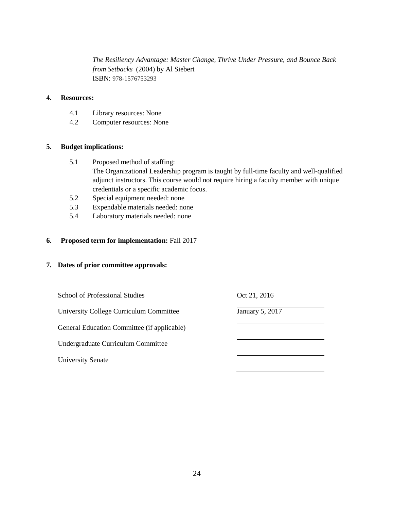*The Resiliency Advantage: Master Change, Thrive Under Pressure, and Bounce Back from Setbacks* (2004) by Al Siebert ISBN: 978-1576753293

#### **4. Resources:**

- 4.1 Library resources: None
- 4.2 Computer resources: None

#### **5. Budget implications:**

- 5.1 Proposed method of staffing: The Organizational Leadership program is taught by full-time faculty and well-qualified adjunct instructors. This course would not require hiring a faculty member with unique credentials or a specific academic focus.
- 5.2 Special equipment needed: none
- 5.3 Expendable materials needed: none
- 5.4 Laboratory materials needed: none

#### **6. Proposed term for implementation:** Fall 2017

| School of Professional Studies              | Oct 21, 2016    |
|---------------------------------------------|-----------------|
| University College Curriculum Committee     | January 5, 2017 |
| General Education Committee (if applicable) |                 |
| Undergraduate Curriculum Committee          |                 |
| <b>University Senate</b>                    |                 |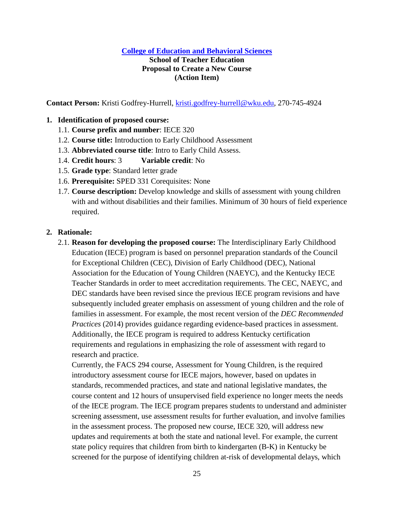#### **[College of Education and Behavioral Sciences](#page-1-2)**

#### **School of Teacher Education Proposal to Create a New Course (Action Item)**

**Contact Person:** Kristi Godfrey-Hurrell, [kristi.godfrey-hurrell@wku.edu,](mailto:kristi.godfrey-hurrell@wku.edu) 270-745-4924

#### **1. Identification of proposed course:**

- 1.1. **Course prefix and number**: IECE 320
- 1.2. **Course title:** Introduction to Early Childhood Assessment
- 1.3. **Abbreviated course title**: Intro to Early Child Assess.
- 1.4. **Credit hours**: 3 **Variable credit**: No
- 1.5. **Grade type**: Standard letter grade
- 1.6. **Prerequisite:** SPED 331 Corequisites: None
- 1.7. **Course description:** Develop knowledge and skills of assessment with young children with and without disabilities and their families. Minimum of 30 hours of field experience required.

#### **2. Rationale:**

2.1. **Reason for developing the proposed course:** The Interdisciplinary Early Childhood Education (IECE) program is based on personnel preparation standards of the Council for Exceptional Children (CEC), Division of Early Childhood (DEC), National Association for the Education of Young Children (NAEYC), and the Kentucky IECE Teacher Standards in order to meet accreditation requirements. The CEC, NAEYC, and DEC standards have been revised since the previous IECE program revisions and have subsequently included greater emphasis on assessment of young children and the role of families in assessment. For example, the most recent version of the *DEC Recommended Practices* (2014) provides guidance regarding evidence-based practices in assessment. Additionally, the IECE program is required to address Kentucky certification requirements and regulations in emphasizing the role of assessment with regard to research and practice.

Currently, the FACS 294 course, Assessment for Young Children, is the required introductory assessment course for IECE majors, however, based on updates in standards, recommended practices, and state and national legislative mandates, the course content and 12 hours of unsupervised field experience no longer meets the needs of the IECE program. The IECE program prepares students to understand and administer screening assessment, use assessment results for further evaluation, and involve families in the assessment process. The proposed new course, IECE 320, will address new updates and requirements at both the state and national level. For example, the current state policy requires that children from birth to kindergarten (B-K) in Kentucky be screened for the purpose of identifying children at-risk of developmental delays, which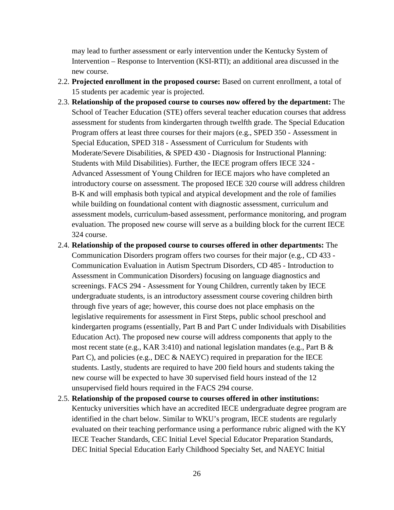may lead to further assessment or early intervention under the Kentucky System of Intervention – Response to Intervention (KSI-RTI); an additional area discussed in the new course.

- 2.2. **Projected enrollment in the proposed course:** Based on current enrollment, a total of 15 students per academic year is projected.
- 2.3. **Relationship of the proposed course to courses now offered by the department:** The School of Teacher Education (STE) offers several teacher education courses that address assessment for students from kindergarten through twelfth grade. The Special Education Program offers at least three courses for their majors (e.g., SPED 350 - Assessment in Special Education, SPED 318 - Assessment of Curriculum for Students with Moderate/Severe Disabilities, & SPED 430 - Diagnosis for Instructional Planning: Students with Mild Disabilities). Further, the IECE program offers IECE 324 - Advanced Assessment of Young Children for IECE majors who have completed an introductory course on assessment. The proposed IECE 320 course will address children B-K and will emphasis both typical and atypical development and the role of families while building on foundational content with diagnostic assessment, curriculum and assessment models, curriculum-based assessment, performance monitoring, and program evaluation. The proposed new course will serve as a building block for the current IECE 324 course.
- 2.4. **Relationship of the proposed course to courses offered in other departments:** The Communication Disorders program offers two courses for their major (e.g., CD 433 - Communication Evaluation in Autism Spectrum Disorders, CD 485 - Introduction to Assessment in Communication Disorders) focusing on language diagnostics and screenings. FACS 294 - Assessment for Young Children, currently taken by IECE undergraduate students, is an introductory assessment course covering children birth through five years of age; however, this course does not place emphasis on the legislative requirements for assessment in First Steps, public school preschool and kindergarten programs (essentially, Part B and Part C under Individuals with Disabilities Education Act). The proposed new course will address components that apply to the most recent state (e.g., KAR 3:410) and national legislation mandates (e.g., Part B & Part C), and policies (e.g., DEC & NAEYC) required in preparation for the IECE students. Lastly, students are required to have 200 field hours and students taking the new course will be expected to have 30 supervised field hours instead of the 12 unsupervised field hours required in the FACS 294 course.
- 2.5. **Relationship of the proposed course to courses offered in other institutions:**  Kentucky universities which have an accredited IECE undergraduate degree program are identified in the chart below. Similar to WKU's program, IECE students are regularly evaluated on their teaching performance using a performance rubric aligned with the KY IECE Teacher Standards, CEC Initial Level Special Educator Preparation Standards, DEC Initial Special Education Early Childhood Specialty Set, and NAEYC Initial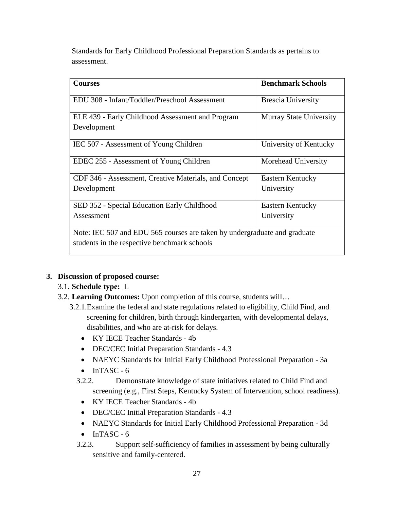Standards for Early Childhood Professional Preparation Standards as pertains to assessment.

| <b>Courses</b>                                                            | <b>Benchmark Schools</b>       |
|---------------------------------------------------------------------------|--------------------------------|
| EDU 308 - Infant/Toddler/Preschool Assessment                             | <b>Brescia University</b>      |
| ELE 439 - Early Childhood Assessment and Program                          | <b>Murray State University</b> |
| Development                                                               |                                |
| IEC 507 - Assessment of Young Children                                    | University of Kentucky         |
| EDEC 255 - Assessment of Young Children                                   | Morehead University            |
| CDF 346 - Assessment, Creative Materials, and Concept                     | Eastern Kentucky               |
| Development                                                               | University                     |
| SED 352 - Special Education Early Childhood                               | Eastern Kentucky               |
| Assessment                                                                | University                     |
| Note: IEC 507 and EDU 565 courses are taken by undergraduate and graduate |                                |
| students in the respective benchmark schools                              |                                |

# **3. Discussion of proposed course:**

- 3.1. **Schedule type:** L
- 3.2. **Learning Outcomes:** Upon completion of this course, students will…
	- 3.2.1.Examine the federal and state regulations related to eligibility, Child Find, and screening for children, birth through kindergarten, with developmental delays, disabilities, and who are at-risk for delays.
		- KY IECE Teacher Standards 4b
		- DEC/CEC Initial Preparation Standards 4.3
		- NAEYC Standards for Initial Early Childhood Professional Preparation 3a
		- $\bullet$  InTASC 6
		- 3.2.2. Demonstrate knowledge of state initiatives related to Child Find and screening (e.g., First Steps, Kentucky System of Intervention, school readiness).
			- KY IECE Teacher Standards 4b
			- DEC/CEC Initial Preparation Standards 4.3
		- NAEYC Standards for Initial Early Childhood Professional Preparation 3d
		- $\bullet$  InTASC 6
		- 3.2.3. Support self-sufficiency of families in assessment by being culturally sensitive and family-centered.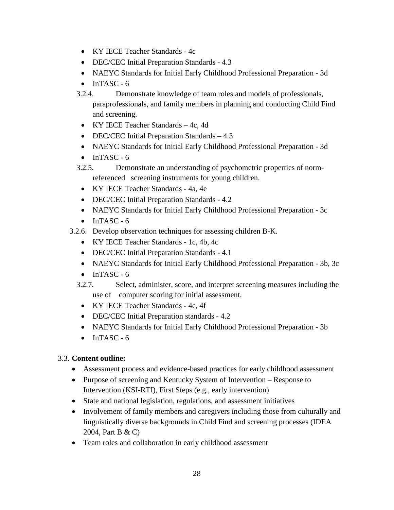- KY IECE Teacher Standards 4c
- DEC/CEC Initial Preparation Standards 4.3
- NAEYC Standards for Initial Early Childhood Professional Preparation 3d
- $\bullet$  InTASC 6
- 3.2.4. Demonstrate knowledge of team roles and models of professionals, paraprofessionals, and family members in planning and conducting Child Find and screening.
	- KY IECE Teacher Standards 4c, 4d
	- DEC/CEC Initial Preparation Standards 4.3
	- NAEYC Standards for Initial Early Childhood Professional Preparation 3d
	- $\bullet$  InTASC 6
- 3.2.5. Demonstrate an understanding of psychometric properties of normreferenced screening instruments for young children.
	- KY IECE Teacher Standards 4a, 4e
- DEC/CEC Initial Preparation Standards 4.2
- NAEYC Standards for Initial Early Childhood Professional Preparation 3c
- $\bullet$  InTASC 6
- 3.2.6. Develop observation techniques for assessing children B-K.
	- KY IECE Teacher Standards 1c, 4b, 4c
	- DEC/CEC Initial Preparation Standards 4.1
	- NAEYC Standards for Initial Early Childhood Professional Preparation 3b, 3c
	- $\bullet$  InTASC 6
	- 3.2.7. Select, administer, score, and interpret screening measures including the use of computer scoring for initial assessment.
		- KY IECE Teacher Standards 4c, 4f
		- DEC/CEC Initial Preparation standards 4.2
		- NAEYC Standards for Initial Early Childhood Professional Preparation 3b
		- $\bullet$  InTASC 6

# 3.3. **Content outline:**

- Assessment process and evidence-based practices for early childhood assessment
- Purpose of screening and Kentucky System of Intervention Response to Intervention (KSI-RTI), First Steps (e.g., early intervention)
- State and national legislation, regulations, and assessment initiatives
- Involvement of family members and caregivers including those from culturally and linguistically diverse backgrounds in Child Find and screening processes (IDEA 2004, Part B & C)
- Team roles and collaboration in early childhood assessment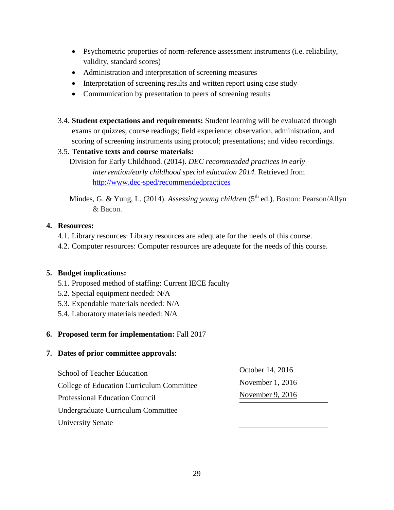- Psychometric properties of norm-reference assessment instruments (i.e. reliability, validity, standard scores)
- Administration and interpretation of screening measures
- Interpretation of screening results and written report using case study
- Communication by presentation to peers of screening results
- 3.4. **Student expectations and requirements:** Student learning will be evaluated through exams or quizzes; course readings; field experience; observation, administration, and scoring of screening instruments using protocol; presentations; and video recordings.

# 3.5. **Tentative texts and course materials:**

Division for Early Childhood. (2014). *DEC recommended practices in early intervention/early childhood special education 2014.* Retrieved from <http://www.dec-sped/recommendedpractices>

Mindes, G. & Yung, L. (2014). *Assessing young children* (5<sup>th</sup> ed.). Boston: Pearson/Allyn & Bacon.

# **4. Resources:**

- 4.1. Library resources: Library resources are adequate for the needs of this course.
- 4.2. Computer resources: Computer resources are adequate for the needs of this course.

# **5. Budget implications:**

- 5.1. Proposed method of staffing: Current IECE faculty
- 5.2. Special equipment needed: N/A
- 5.3. Expendable materials needed: N/A
- 5.4. Laboratory materials needed: N/A

# **6. Proposed term for implementation:** Fall 2017

| <b>School of Teacher Education</b><br>College of Education Curriculum Committee | October 14, 2016 |  |
|---------------------------------------------------------------------------------|------------------|--|
|                                                                                 | November 1, 2016 |  |
| <b>Professional Education Council</b>                                           | November 9, 2016 |  |
| Undergraduate Curriculum Committee                                              |                  |  |
| <b>University Senate</b>                                                        |                  |  |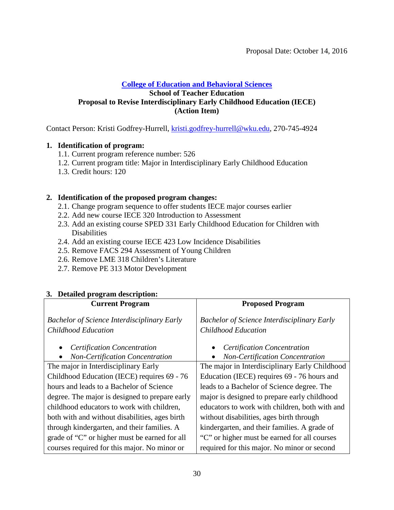### **[College of Education and Behavioral Sciences](#page-1-2) School of Teacher Education Proposal to Revise Interdisciplinary Early Childhood Education (IECE) (Action Item)**

Contact Person: Kristi Godfrey-Hurrell, [kristi.godfrey-hurrell@wku.edu,](mailto:krist.godfrey-hurrell@wku.edu) 270-745-4924

#### **1. Identification of program:**

- 1.1. Current program reference number: 526
- <span id="page-29-0"></span>1.2. Current program title: Major in Interdisciplinary Early Childhood Education
- 1.3. Credit hours: 120

# **2. Identification of the proposed program changes:**

- 2.1. Change program sequence to offer students IECE major courses earlier
- 2.2. Add new course IECE 320 Introduction to Assessment
- 2.3. Add an existing course SPED 331 Early Childhood Education for Children with **Disabilities**
- 2.4. Add an existing course IECE 423 Low Incidence Disabilities
- 2.5. Remove FACS 294 Assessment of Young Children
- 2.6. Remove LME 318 Children's Literature
- 2.7. Remove PE 313 Motor Development

| 3. Detailed program description:                   |                                                    |
|----------------------------------------------------|----------------------------------------------------|
| <b>Current Program</b>                             | <b>Proposed Program</b>                            |
|                                                    |                                                    |
| <b>Bachelor of Science Interdisciplinary Early</b> | <b>Bachelor of Science Interdisciplinary Early</b> |
| Childhood Education                                | Childhood Education                                |
|                                                    |                                                    |
| <b>Certification Concentration</b><br>$\bullet$    | <b>Certification Concentration</b><br>$\bullet$    |
| <b>Non-Certification Concentration</b>             | <b>Non-Certification Concentration</b>             |
| The major in Interdisciplinary Early               | The major in Interdisciplinary Early Childhood     |
| Childhood Education (IECE) requires 69 - 76        | Education (IECE) requires 69 - 76 hours and        |
| hours and leads to a Bachelor of Science           | leads to a Bachelor of Science degree. The         |
| degree. The major is designed to prepare early     | major is designed to prepare early childhood       |
| childhood educators to work with children,         | educators to work with children, both with and     |
| both with and without disabilities, ages birth     | without disabilities, ages birth through           |
| through kindergarten, and their families. A        | kindergarten, and their families. A grade of       |
| grade of "C" or higher must be earned for all      | "C" or higher must be earned for all courses       |
| courses required for this major. No minor or       | required for this major. No minor or second        |

# **3. Detailed program description:**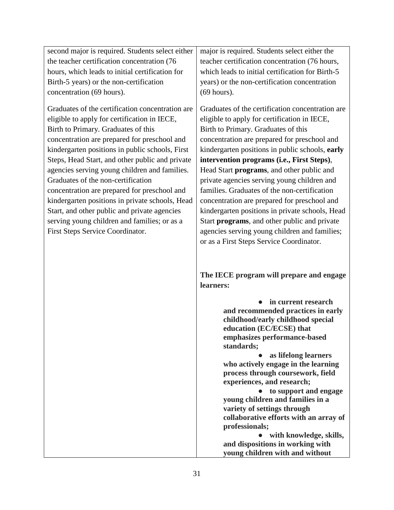| second major is required. Students select either   major is required. Students select either the |                                                  |
|--------------------------------------------------------------------------------------------------|--------------------------------------------------|
| the teacher certification concentration (76)                                                     | teacher certification concentration (76 hours,   |
| hours, which leads to initial certification for                                                  | which leads to initial certification for Birth-5 |
| Birth-5 years) or the non-certification                                                          | years) or the non-certification concentration    |
| concentration (69 hours).                                                                        | $(69$ hours).                                    |
|                                                                                                  |                                                  |

Graduates of the certification concentration are eligible to apply for certification in IECE, Birth to Primary. Graduates of this concentration are prepared for preschool and kindergarten positions in public schools, First Steps, Head Start, and other public and private agencies serving young children and families. Graduates of the non-certification concentration are prepared for preschool and kindergarten positions in private schools, Head Start, and other public and private agencies serving young children and families; or as a First Steps Service Coordinator.

Graduates of the certification concentration are eligible to apply for certification in IECE, Birth to Primary. Graduates of this concentration are prepared for preschool and kindergarten positions in public schools, **early intervention programs (i.e., First Steps)**, Head Start **programs**, and other public and private agencies serving young children and families. Graduates of the non-certification concentration are prepared for preschool and kindergarten positions in private schools, Head Start **programs**, and other public and private agencies serving young children and families; or as a First Steps Service Coordinator.

**The IECE program will prepare and engage learners:**

> ● **in current research and recommended practices in early childhood/early childhood special education (EC/ECSE) that emphasizes performance-based standards;**

● **as lifelong learners who actively engage in the learning process through coursework, field experiences, and research;**

● **to support and engage young children and families in a variety of settings through collaborative efforts with an array of professionals;**

● **with knowledge, skills, and dispositions in working with young children with and without**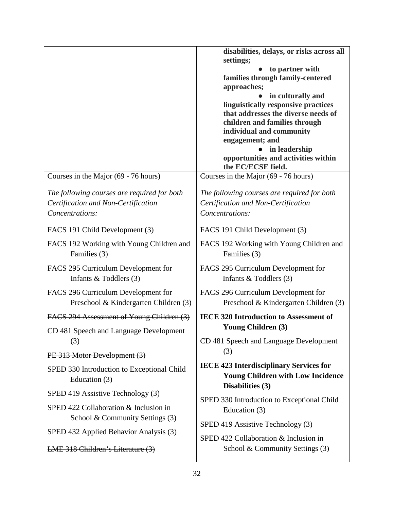|                                                                                                               | disabilities, delays, or risks across all<br>settings;<br>to partner with<br>families through family-centered<br>approaches;<br>in culturally and<br>linguistically responsive practices<br>that addresses the diverse needs of<br>children and families through<br>individual and community<br>engagement; and<br>in leadership<br>opportunities and activities within<br>the EC/ECSE field. |
|---------------------------------------------------------------------------------------------------------------|-----------------------------------------------------------------------------------------------------------------------------------------------------------------------------------------------------------------------------------------------------------------------------------------------------------------------------------------------------------------------------------------------|
| Courses in the Major (69 - 76 hours)                                                                          | Courses in the Major (69 - 76 hours)                                                                                                                                                                                                                                                                                                                                                          |
| The following courses are required for both<br>Certification and Non-Certification<br>Concentrations:         | The following courses are required for both<br>Certification and Non-Certification<br>Concentrations:                                                                                                                                                                                                                                                                                         |
| FACS 191 Child Development (3)                                                                                | FACS 191 Child Development (3)                                                                                                                                                                                                                                                                                                                                                                |
| FACS 192 Working with Young Children and<br>Families (3)                                                      | FACS 192 Working with Young Children and<br>Families (3)                                                                                                                                                                                                                                                                                                                                      |
| FACS 295 Curriculum Development for<br>Infants $&$ Toddlers (3)                                               | FACS 295 Curriculum Development for<br>Infants $&$ Toddlers (3)                                                                                                                                                                                                                                                                                                                               |
| FACS 296 Curriculum Development for<br>Preschool & Kindergarten Children (3)                                  | FACS 296 Curriculum Development for<br>Preschool & Kindergarten Children (3)                                                                                                                                                                                                                                                                                                                  |
| FACS 294 Assessment of Young Children (3)                                                                     | IECE 320 Introduction to Assessment of                                                                                                                                                                                                                                                                                                                                                        |
| CD 481 Speech and Language Development                                                                        | <b>Young Children (3)</b>                                                                                                                                                                                                                                                                                                                                                                     |
| (3)                                                                                                           | CD 481 Speech and Language Development<br>(3)                                                                                                                                                                                                                                                                                                                                                 |
| PE 313 Motor Development (3)<br>SPED 330 Introduction to Exceptional Child<br>Education (3)                   | <b>IECE 423 Interdisciplinary Services for</b><br><b>Young Children with Low Incidence</b><br>Disabilities (3)                                                                                                                                                                                                                                                                                |
| SPED 419 Assistive Technology (3)<br>SPED 422 Collaboration & Inclusion in<br>School & Community Settings (3) | SPED 330 Introduction to Exceptional Child<br>Education (3)                                                                                                                                                                                                                                                                                                                                   |
| SPED 432 Applied Behavior Analysis (3)                                                                        | SPED 419 Assistive Technology (3)<br>SPED 422 Collaboration & Inclusion in                                                                                                                                                                                                                                                                                                                    |
| LME 318 Children's Literature (3)                                                                             | School & Community Settings (3)                                                                                                                                                                                                                                                                                                                                                               |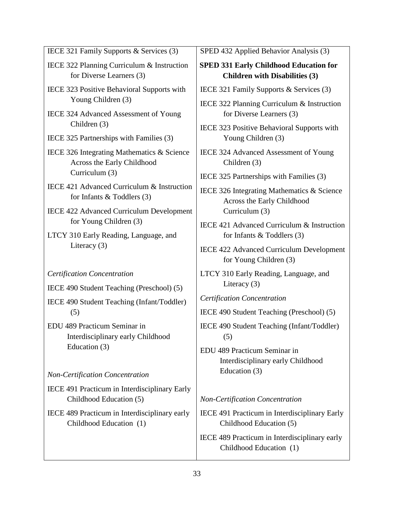| IECE 321 Family Supports & Services (3) |  |  |  |  |  |  |
|-----------------------------------------|--|--|--|--|--|--|
|-----------------------------------------|--|--|--|--|--|--|

- IECE 322 Planning Curriculum & Instruction for Diverse Learners (3)
- IECE 323 Positive Behavioral Supports with Young Children (3)
- IECE 324 Advanced Assessment of Young Children (3)
- IECE 325 Partnerships with Families (3)
- IECE 326 Integrating Mathematics & Science Across the Early Childhood Curriculum (3)
- IECE 421 Advanced Curriculum & Instruction for Infants & Toddlers (3)
- IECE 422 Advanced Curriculum Development for Young Children (3)
- LTCY 310 Early Reading, Language, and Literacy (3)

#### *Certification Concentration*

IECE 490 Student Teaching (Preschool) (5)

- IECE 490 Student Teaching (Infant/Toddler) (5)
- EDU 489 Practicum Seminar in Interdisciplinary early Childhood Education (3)

*Non-Certification Concentration*

IECE 491 Practicum in Interdisciplinary Early Childhood Education (5)

IECE 489 Practicum in Interdisciplinary early Childhood Education (1)

SPED 432 Applied Behavior Analysis (3)

### **SPED 331 Early Childhood Education for Children with Disabilities (3)**

- IECE 321 Family Supports & Services (3)
- IECE 322 Planning Curriculum & Instruction for Diverse Learners (3)
- IECE 323 Positive Behavioral Supports with Young Children (3)
- IECE 324 Advanced Assessment of Young Children (3)
- IECE 325 Partnerships with Families (3)
- IECE 326 Integrating Mathematics & Science Across the Early Childhood Curriculum (3)
- IECE 421 Advanced Curriculum & Instruction for Infants & Toddlers (3)
- IECE 422 Advanced Curriculum Development for Young Children (3)
- LTCY 310 Early Reading, Language, and Literacy (3)
- *Certification Concentration*

IECE 490 Student Teaching (Preschool) (5)

- IECE 490 Student Teaching (Infant/Toddler) (5)
- EDU 489 Practicum Seminar in Interdisciplinary early Childhood Education (3)

#### *Non-Certification Concentration*

- IECE 491 Practicum in Interdisciplinary Early Childhood Education (5)
- IECE 489 Practicum in Interdisciplinary early Childhood Education (1)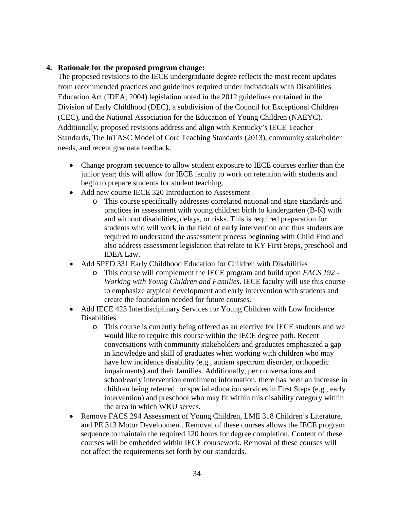# **4. Rationale for the proposed program change:**

The proposed revisions to the IECE undergraduate degree reflects the most recent updates from recommended practices and guidelines required under Individuals with Disabilities Education Act (IDEA; 2004) legislation noted in the 2012 guidelines contained in the Division of Early Childhood (DEC), a subdivision of the Council for Exceptional Children (CEC), and the National Association for the Education of Young Children (NAEYC). Additionally, proposed revisions address and align with Kentucky's IECE Teacher Standards, The InTASC Model of Core Teaching Standards (2013), community stakeholder needs, and recent graduate feedback.

- Change program sequence to allow student exposure to IECE courses earlier than the junior year; this will allow for IECE faculty to work on retention with students and begin to prepare students for student teaching.
- Add new course IECE 320 Introduction to Assessment
	- o This course specifically addresses correlated national and state standards and practices in assessment with young children birth to kindergarten (B-K) with and without disabilities, delays, or risks. This is required preparation for students who will work in the field of early intervention and thus students are required to understand the assessment process beginning with Child Find and also address assessment legislation that relate to KY First Steps, preschool and IDEA Law.
- Add SPED 331 Early Childhood Education for Children with Disabilities
	- o This course will complement the IECE program and build upon *FACS 192 - Working with Young Children and Families*. IECE faculty will use this course to emphasize atypical development and early intervention with students and create the foundation needed for future courses.
- Add IECE 423 Interdisciplinary Services for Young Children with Low Incidence **Disabilities** 
	- o This course is currently being offered as an elective for IECE students and we would like to require this course within the IECE degree path. Recent conversations with community stakeholders and graduates emphasized a gap in knowledge and skill of graduates when working with children who may have low incidence disability (e.g., autism spectrum disorder, orthopedic impairments) and their families. Additionally, per conversations and school/early intervention enrollment information, there has been an increase in children being referred for special education services in First Steps (e.g., early intervention) and preschool who may fit within this disability category within the area in which WKU serves.
- Remove FACS 294 Assessment of Young Children, LME 318 Children's Literature, and PE 313 Motor Development. Removal of these courses allows the IECE program sequence to maintain the required 120 hours for degree completion. Content of these courses will be embedded within IECE coursework. Removal of these courses will not affect the requirements set forth by our standards.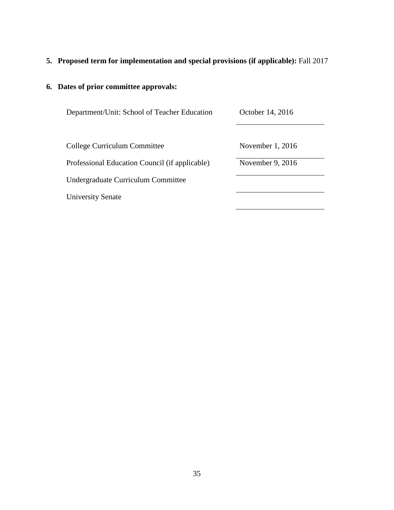# **5. Proposed term for implementation and special provisions (if applicable):** Fall 2017

| Department/Unit: School of Teacher Education   | October 14, 2016 |
|------------------------------------------------|------------------|
|                                                |                  |
| College Curriculum Committee                   | November 1, 2016 |
| Professional Education Council (if applicable) | November 9, 2016 |
| Undergraduate Curriculum Committee             |                  |
| <b>University Senate</b>                       |                  |
|                                                |                  |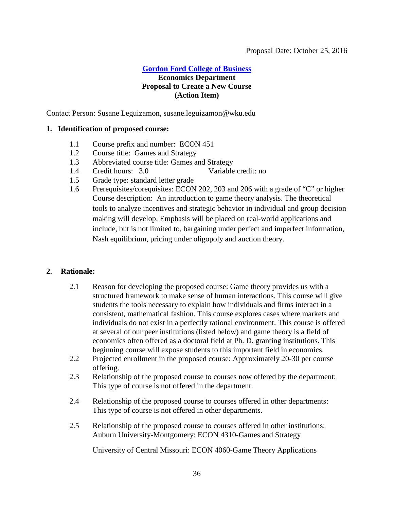#### **[Gordon Ford College of Business](#page-1-3) Economics Department**

# <span id="page-35-0"></span>**Proposal to Create a New Course (Action Item)**

Contact Person: Susane Leguizamon, susane.leguizamon@wku.edu

#### **1. Identification of proposed course:**

- 1.1 Course prefix and number: ECON 451
- 1.2 Course title: Games and Strategy
- 1.3 Abbreviated course title: Games and Strategy
- 1.4 Credit hours: 3.0 Variable credit: no
- 1.5 Grade type: standard letter grade
- 1.6 Prerequisites/corequisites: ECON 202, 203 and 206 with a grade of "C" or higher Course description: An introduction to game theory analysis. The theoretical tools to analyze incentives and strategic behavior in individual and group decision making will develop. Emphasis will be placed on real-world applications and include, but is not limited to, bargaining under perfect and imperfect information, Nash equilibrium, pricing under oligopoly and auction theory.

#### **2. Rationale:**

- 2.1 Reason for developing the proposed course: Game theory provides us with a structured framework to make sense of human interactions. This course will give students the tools necessary to explain how individuals and firms interact in a consistent, mathematical fashion. This course explores cases where markets and individuals do not exist in a perfectly rational environment. This course is offered at several of our peer institutions (listed below) and game theory is a field of economics often offered as a doctoral field at Ph. D. granting institutions. This beginning course will expose students to this important field in economics.
- 2.2 Projected enrollment in the proposed course: Approximately 20-30 per course offering.
- 2.3 Relationship of the proposed course to courses now offered by the department: This type of course is not offered in the department.
- 2.4 Relationship of the proposed course to courses offered in other departments: This type of course is not offered in other departments.
- 2.5 Relationship of the proposed course to courses offered in other institutions: Auburn University-Montgomery: ECON 4310-Games and Strategy

University of Central Missouri: ECON 4060-Game Theory Applications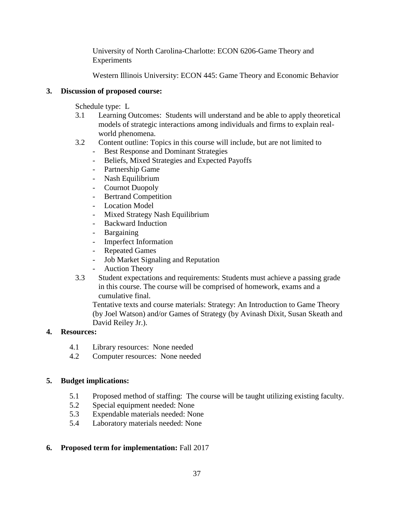University of North Carolina-Charlotte: ECON 6206-Game Theory and Experiments

Western Illinois University: ECON 445: Game Theory and Economic Behavior

# **3. Discussion of proposed course:**

Schedule type: L

- 3.1 Learning Outcomes: Students will understand and be able to apply theoretical models of strategic interactions among individuals and firms to explain realworld phenomena.
- 3.2 Content outline: Topics in this course will include, but are not limited to
	- Best Response and Dominant Strategies
	- Beliefs, Mixed Strategies and Expected Payoffs
	- Partnership Game
	- Nash Equilibrium
	- Cournot Duopoly
	- Bertrand Competition
	- Location Model
	- Mixed Strategy Nash Equilibrium
	- Backward Induction
	- Bargaining
	- Imperfect Information
	- Repeated Games
	- Job Market Signaling and Reputation
	- Auction Theory
- 3.3 Student expectations and requirements: Students must achieve a passing grade in this course. The course will be comprised of homework, exams and a cumulative final.

Tentative texts and course materials: Strategy: An Introduction to Game Theory (by Joel Watson) and/or Games of Strategy (by Avinash Dixit, Susan Skeath and David Reiley Jr.).

# **4. Resources:**

- 4.1 Library resources: None needed
- 4.2 Computer resources: None needed

# **5. Budget implications:**

- 5.1 Proposed method of staffing: The course will be taught utilizing existing faculty.
- 5.2 Special equipment needed: None
- 5.3 Expendable materials needed: None
- 5.4 Laboratory materials needed: None

# **6. Proposed term for implementation:** Fall 2017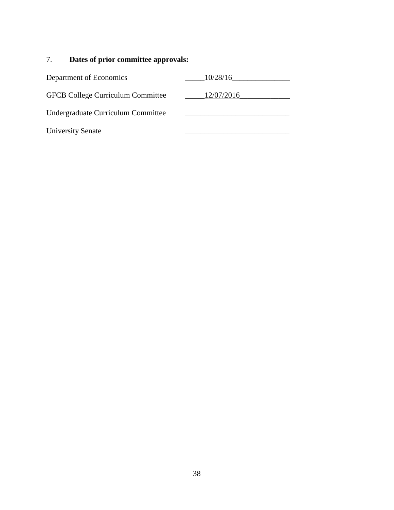| Department of Economics                  | 10/28/16   |
|------------------------------------------|------------|
| <b>GFCB College Curriculum Committee</b> | 12/07/2016 |
| Undergraduate Curriculum Committee       |            |
| <b>University Senate</b>                 |            |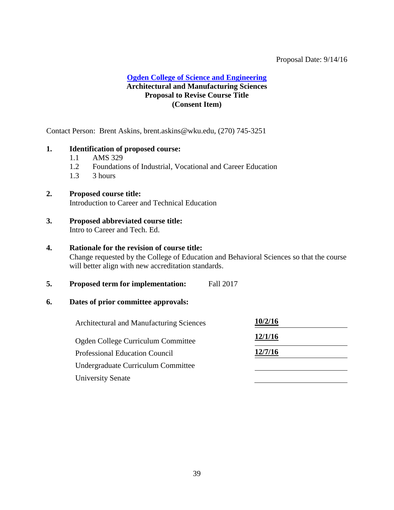#### Proposal Date: 9/14/16

#### **[Ogden College of Science and Engineering](#page-1-4) Architectural and Manufacturing Sciences Proposal to Revise Course Title (Consent Item)**

Contact Person: Brent Askins, brent.askins@wku.edu, (270) 745-3251

#### <span id="page-38-0"></span>**1. Identification of proposed course:**

- 1.1 AMS 329
- 1.2 Foundations of Industrial, Vocational and Career Education
- $1.3$  3 hours

#### **2. Proposed course title:**

Introduction to Career and Technical Education

#### **3. Proposed abbreviated course title:** Intro to Career and Tech. Ed.

#### **4. Rationale for the revision of course title:**

Change requested by the College of Education and Behavioral Sciences so that the course will better align with new accreditation standards.

**5. Proposed term for implementation:** Fall 2017

| Architectural and Manufacturing Sciences | 10/2/16 |
|------------------------------------------|---------|
| Ogden College Curriculum Committee       | 12/1/16 |
| <b>Professional Education Council</b>    | 12/7/16 |
| Undergraduate Curriculum Committee       |         |
| <b>University Senate</b>                 |         |
|                                          |         |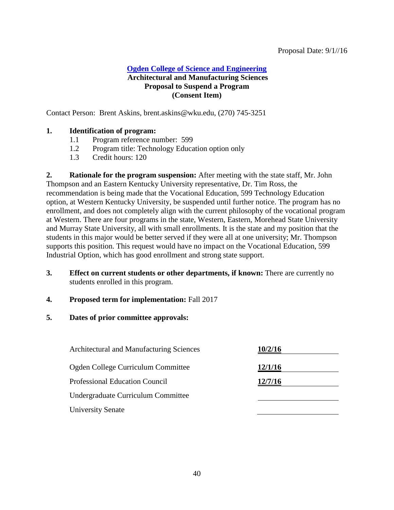### **[Ogden College of Science and Engineering](#page-39-0) Architectural and Manufacturing Sciences Proposal to Suspend a Program (Consent Item)**

Contact Person: Brent Askins, brent.askins@wku.edu, (270) 745-3251

#### <span id="page-39-0"></span>**1. Identification of program:**

- 1.1 Program reference number: 599
- 1.2 Program title: Technology Education option only
- 1.3 Credit hours: 120

**2. Rationale for the program suspension:** After meeting with the state staff, Mr. John Thompson and an Eastern Kentucky University representative, Dr. Tim Ross, the recommendation is being made that the Vocational Education, 599 Technology Education option, at Western Kentucky University, be suspended until further notice. The program has no enrollment, and does not completely align with the current philosophy of the vocational program at Western. There are four programs in the state, Western, Eastern, Morehead State University and Murray State University, all with small enrollments. It is the state and my position that the students in this major would be better served if they were all at one university; Mr. Thompson supports this position. This request would have no impact on the Vocational Education, 599 Industrial Option, which has good enrollment and strong state support.

- **3. Effect on current students or other departments, if known:** There are currently no students enrolled in this program.
- **4. Proposed term for implementation:** Fall 2017
- **5. Dates of prior committee approvals:**

| <b>Architectural and Manufacturing Sciences</b> | 10/2/16 |
|-------------------------------------------------|---------|
| Ogden College Curriculum Committee              | 12/1/16 |
| <b>Professional Education Council</b>           | 12/7/16 |
| Undergraduate Curriculum Committee              |         |
| <b>University Senate</b>                        |         |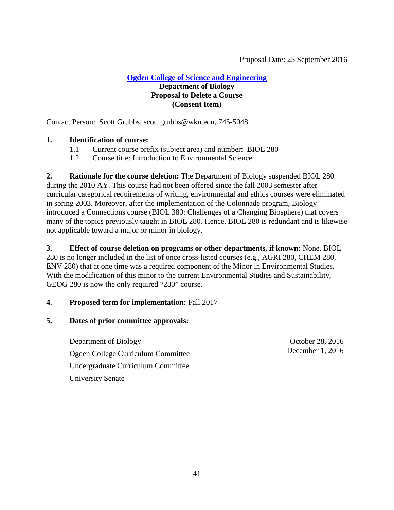# <span id="page-40-0"></span>Proposal Date: 25 September 2016

### **[Ogden College of Science and Engineering](#page-1-4) Department of Biology Proposal to Delete a Course (Consent Item)**

Contact Person: Scott Grubbs, scott.grubbs@wku.edu, 745-5048

#### **1. Identification of course:**

- 1.1 Current course prefix (subject area) and number: BIOL 280
- 1.2 Course title: Introduction to Environmental Science

**2. Rationale for the course deletion:** The Department of Biology suspended BIOL 280 during the 2010 AY. This course had not been offered since the fall 2003 semester after curricular categorical requirements of writing, environmental and ethics courses were eliminated in spring 2003. Moreover, after the implementation of the Colonnade program, Biology introduced a Connections course (BIOL 380: Challenges of a Changing Biosphere) that covers many of the topics previously taught in BIOL 280. Hence, BIOL 280 is redundant and is likewise not applicable toward a major or minor in biology.

**3. Effect of course deletion on programs or other departments, if known:** None. BIOL 280 is no longer included in the list of once cross-listed courses (e.g., AGRI 280, CHEM 280, ENV 280) that at one time was a required component of the Minor in Environmental Studies. With the modification of this minor to the current Environmental Studies and Sustainability, GEOG 280 is now the only required "280" course.

#### **4. Proposed term for implementation:** Fall 2017

| Department of Biology              | October 28, 2016 |
|------------------------------------|------------------|
| Ogden College Curriculum Committee | December 1, 2016 |
| Undergraduate Curriculum Committee |                  |
| <b>University Senate</b>           |                  |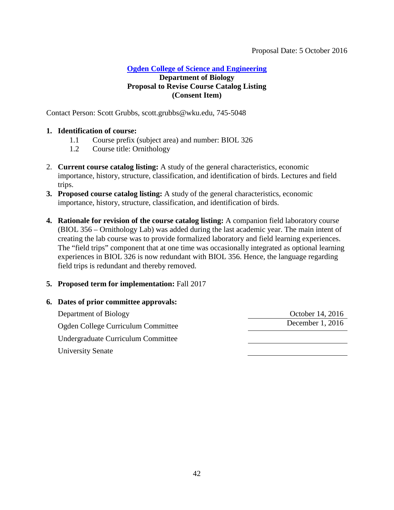#### <span id="page-41-0"></span>Proposal Date: 5 October 2016

# **[Ogden College of Science and Engineering](#page-1-4)**

# **Department of Biology Proposal to Revise Course Catalog Listing (Consent Item)**

Contact Person: Scott Grubbs, scott.grubbs@wku.edu, 745-5048

### **1. Identification of course:**

- 1.1 Course prefix (subject area) and number: BIOL 326
- 1.2 Course title: Ornithology
- 2. **Current course catalog listing:** A study of the general characteristics, economic importance, history, structure, classification, and identification of birds. Lectures and field trips.
- **3. Proposed course catalog listing:** A study of the general characteristics, economic importance, history, structure, classification, and identification of birds.
- **4. Rationale for revision of the course catalog listing:** A companion field laboratory course (BIOL 356 – Ornithology Lab) was added during the last academic year. The main intent of creating the lab course was to provide formalized laboratory and field learning experiences. The "field trips" component that at one time was occasionally integrated as optional learning experiences in BIOL 326 is now redundant with BIOL 356. Hence, the language regarding field trips is redundant and thereby removed.

# **5. Proposed term for implementation:** Fall 2017

# **6. Dates of prior committee approvals:** Department of Biology Corober 14, 2016 Ogden College Curriculum Committee December 1, 2016 Undergraduate Curriculum Committee University Senate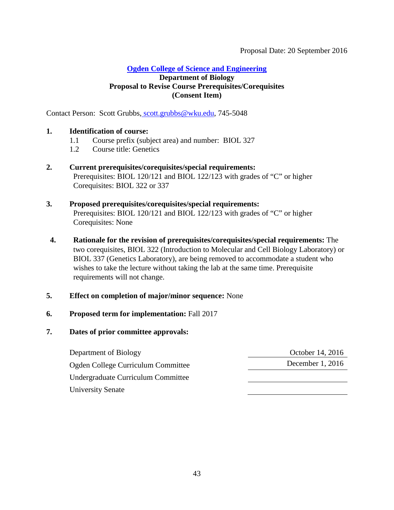#### <span id="page-42-0"></span>Proposal Date: 20 September 2016

### **[Ogden College of Science and Engineering](#page-1-4)**

### **Department of Biology Proposal to Revise Course Prerequisites/Corequisites (Consent Item)**

Contact Person: Scott Grubbs, [scott.grubbs@wku.edu,](mailto:%20scott.grubbs@wku.edu) 745-5048

#### **1. Identification of course:**

- 1.1 Course prefix (subject area) and number: BIOL 327
- 1.2 Course title: Genetics
- **2. Current prerequisites/corequisites/special requirements:** Prerequisites: BIOL 120/121 and BIOL 122/123 with grades of "C" or higher Corequisites: BIOL 322 or 337

### **3. Proposed prerequisites/corequisites/special requirements:** Prerequisites: BIOL 120/121 and BIOL 122/123 with grades of "C" or higher Corequisites: None

**4. Rationale for the revision of prerequisites/corequisites/special requirements:** The two corequisites, BIOL 322 (Introduction to Molecular and Cell Biology Laboratory) or BIOL 337 (Genetics Laboratory), are being removed to accommodate a student who wishes to take the lecture without taking the lab at the same time. Prerequisite requirements will not change.

# **5. Effect on completion of major/minor sequence:** None

# **6. Proposed term for implementation:** Fall 2017

| Department of Biology              | October 14, 2016   |
|------------------------------------|--------------------|
| Ogden College Curriculum Committee | December 1, $2016$ |
| Undergraduate Curriculum Committee |                    |
| <b>University Senate</b>           |                    |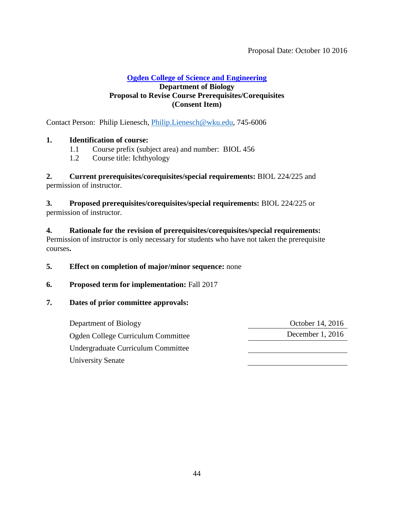#### <span id="page-43-0"></span>**[Ogden College of Science and Engineering](#page-2-0)**

#### **Department of Biology Proposal to Revise Course Prerequisites/Corequisites (Consent Item)**

Contact Person: Philip Lienesch, [Philip.Lienesch@wku.edu,](mailto:Philip.Lienesch@wku.edu) 745-6006

#### **1. Identification of course:**

- 1.1 Course prefix (subject area) and number: BIOL 456
- 1.2 Course title: Ichthyology

**2. Current prerequisites/corequisites/special requirements:** BIOL 224/225 and permission of instructor.

**3. Proposed prerequisites/corequisites/special requirements:** BIOL 224/225 or permission of instructor.

**4. Rationale for the revision of prerequisites/corequisites/special requirements:**  Permission of instructor is only necessary for students who have not taken the prerequisite courses**.**

#### **5. Effect on completion of major/minor sequence:** none

#### **6. Proposed term for implementation:** Fall 2017

### **7. Dates of prior committee approvals:**

Department of Biology October 14, 2016 Ogden College Curriculum Committee December 1, 2016 Undergraduate Curriculum Committee University Senate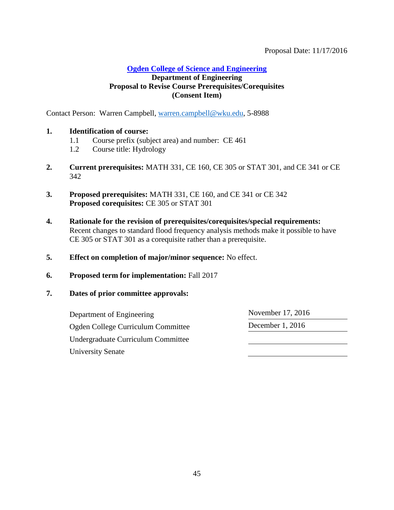<span id="page-44-0"></span>Proposal Date: 11/17/2016

**[Ogden College of Science and Engineering](#page-2-0)**

# **Department of Engineering Proposal to Revise Course Prerequisites/Corequisites (Consent Item)**

Contact Person: Warren Campbell, [warren.campbell@wku.edu,](mailto:warren.campbell@wku.edu) 5-8988

#### **1. Identification of course:**

- 1.1 Course prefix (subject area) and number: CE 461
- 1.2 Course title: Hydrology
- **2. Current prerequisites:** MATH 331, CE 160, CE 305 or STAT 301, and CE 341 or CE 342
- **3. Proposed prerequisites:** MATH 331, CE 160, and CE 341 or CE 342 **Proposed corequisites:** CE 305 or STAT 301
- **4. Rationale for the revision of prerequisites/corequisites/special requirements:** Recent changes to standard flood frequency analysis methods make it possible to have CE 305 or STAT 301 as a corequisite rather than a prerequisite.
- **5. Effect on completion of major/minor sequence:** No effect.
- **6. Proposed term for implementation:** Fall 2017
- **7. Dates of prior committee approvals:**

Department of Engineering November 17, 2016 Ogden College Curriculum Committee December 1, 2016 Undergraduate Curriculum Committee University Senate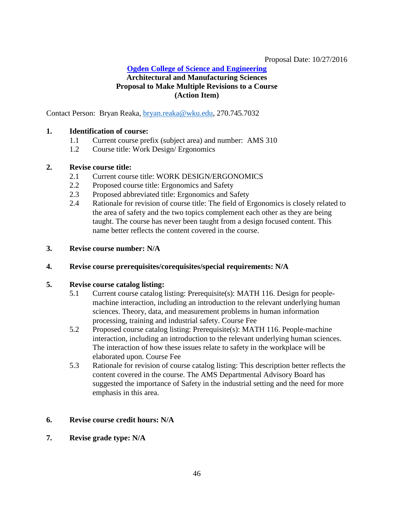### <span id="page-45-0"></span>Proposal Date: 10/27/2016

# **[Ogden College of Science and Engineering](#page-2-0)**

# **Architectural and Manufacturing Sciences Proposal to Make Multiple Revisions to a Course (Action Item)**

Contact Person: Bryan Reaka, [bryan.reaka@wku.edu,](mailto:bryan.reaka@wku.edu) 270.745.7032

### **1. Identification of course:**

- 1.1 Current course prefix (subject area) and number: AMS 310
- 1.2 Course title: Work Design/ Ergonomics

#### **2. Revise course title:**

- 2.1 Current course title: WORK DESIGN/ERGONOMICS
- 2.2 Proposed course title: Ergonomics and Safety
- 2.3 Proposed abbreviated title: Ergonomics and Safety
- 2.4 Rationale for revision of course title: The field of Ergonomics is closely related to the area of safety and the two topics complement each other as they are being taught. The course has never been taught from a design focused content. This name better reflects the content covered in the course.
- **3. Revise course number: N/A**

#### **4. Revise course prerequisites/corequisites/special requirements: N/A**

#### **5. Revise course catalog listing:**

- 5.1 Current course catalog listing: Prerequisite(s): MATH 116. Design for peoplemachine interaction, including an introduction to the relevant underlying human sciences. Theory, data, and measurement problems in human information processing, training and industrial safety. Course Fee
- 5.2 Proposed course catalog listing: Prerequisite(s): MATH 116. People-machine interaction, including an introduction to the relevant underlying human sciences. The interaction of how these issues relate to safety in the workplace will be elaborated upon. Course Fee
- 5.3 Rationale for revision of course catalog listing: This description better reflects the content covered in the course. The AMS Departmental Advisory Board has suggested the importance of Safety in the industrial setting and the need for more emphasis in this area.

# **6. Revise course credit hours: N/A**

**7. Revise grade type: N/A**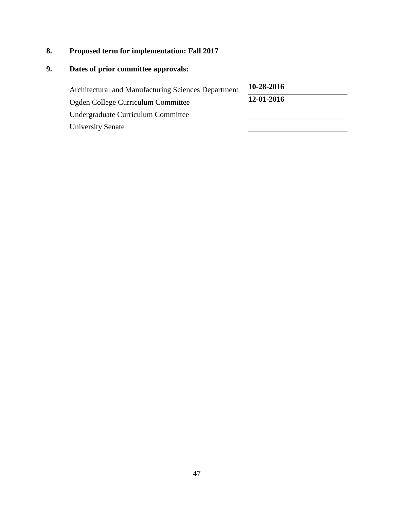# **8. Proposed term for implementation: Fall 2017**

| Architectural and Manufacturing Sciences Department | 10-28-2016 |
|-----------------------------------------------------|------------|
| Ogden College Curriculum Committee                  | 12-01-2016 |
| Undergraduate Curriculum Committee                  |            |
| <b>University Senate</b>                            |            |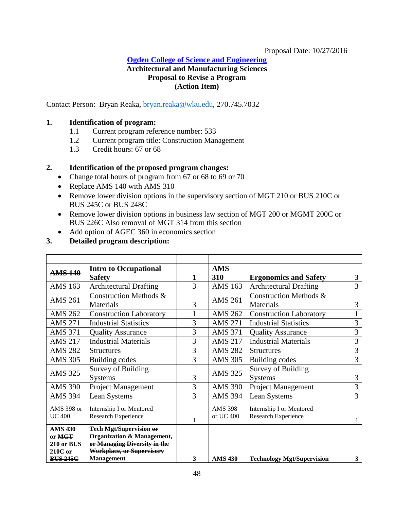#### Proposal Date: 10/27/2016

#### **[Ogden College of Science and Engineering](#page-2-0)**

# <span id="page-47-0"></span>**Architectural and Manufacturing Sciences Proposal to Revise a Program (Action Item)**

Contact Person: Bryan Reaka, [bryan.reaka@wku.edu,](mailto:bryan.reaka@wku.edu) 270.745.7032

#### **1. Identification of program:**

- 1.1 Current program reference number: 533
- 1.2 Current program title: Construction Management
- 1.3 Credit hours: 67 or 68

#### **2. Identification of the proposed program changes:**

- Change total hours of program from 67 or 68 to 69 or 70
- Replace AMS 140 with AMS 310
- Remove lower division options in the supervisory section of MGT 210 or BUS 210C or BUS 245C or BUS 248C
- Remove lower division options in business law section of MGT 200 or MGMT 200C or BUS 226C Also removal of MGT 314 from this section
- Add option of AGEC 360 in economics section

# **3. Detailed program description:**

| <b>AMS 140</b>           | Intro to Occupational                                            |             | <b>AMS</b>     |                                   |   |
|--------------------------|------------------------------------------------------------------|-------------|----------------|-----------------------------------|---|
|                          | <b>Safety</b>                                                    | $\mathbf 1$ | 310            | <b>Ergonomics and Safety</b>      | 3 |
| <b>AMS 163</b>           | <b>Architectural Drafting</b>                                    | 3           | <b>AMS 163</b> | <b>Architectural Drafting</b>     | 3 |
| <b>AMS 261</b>           | Construction Methods &                                           |             | <b>AMS 261</b> | Construction Methods &            |   |
|                          | Materials                                                        | 3           |                | Materials                         | 3 |
| <b>AMS 262</b>           | <b>Construction Laboratory</b>                                   |             | <b>AMS 262</b> | <b>Construction Laboratory</b>    |   |
| <b>AMS 271</b>           | <b>Industrial Statistics</b>                                     | 3           | <b>AMS 271</b> | <b>Industrial Statistics</b>      | 3 |
| <b>AMS 371</b>           | <b>Quality Assurance</b>                                         | 3           | <b>AMS 371</b> | <b>Quality Assurance</b>          | 3 |
| <b>AMS 217</b>           | <b>Industrial Materials</b>                                      | 3           | <b>AMS 217</b> | <b>Industrial Materials</b>       | 3 |
| <b>AMS 282</b>           | <b>Structures</b>                                                | 3           | <b>AMS 282</b> | <b>Structures</b>                 | 3 |
| <b>AMS 305</b>           | <b>Building codes</b>                                            | 3           | <b>AMS 305</b> | <b>Building codes</b>             | 3 |
| <b>AMS 325</b>           | Survey of Building                                               |             | <b>AMS 325</b> | Survey of Building                |   |
|                          | <b>Systems</b>                                                   | 3           |                | <b>Systems</b>                    | 3 |
| <b>AMS 390</b>           | Project Management                                               | 3           | <b>AMS 390</b> | Project Management                | 3 |
| <b>AMS 394</b>           | Lean Systems                                                     | 3           | <b>AMS 394</b> | Lean Systems                      | 3 |
| AMS 398 or               | Internship I or Mentored                                         |             | <b>AMS 398</b> | Internship I or Mentored          |   |
| <b>UC 400</b>            | Research Experience                                              |             | or UC 400      | Research Experience               |   |
|                          |                                                                  | 1           |                |                                   |   |
| <b>AMS 430</b><br>or MGT | Tech Mgt/Supervision or<br><b>Organization &amp; Management,</b> |             |                |                                   |   |
| $210$ or BUS             | or Managing Diversity in the                                     |             |                |                                   |   |
| $210C$ or                | Workplace, or Supervisory                                        |             |                |                                   |   |
| <b>BUS 245C</b>          | <b>Management</b>                                                | 3           | <b>AMS 430</b> | <b>Technology Mgt/Supervision</b> | 3 |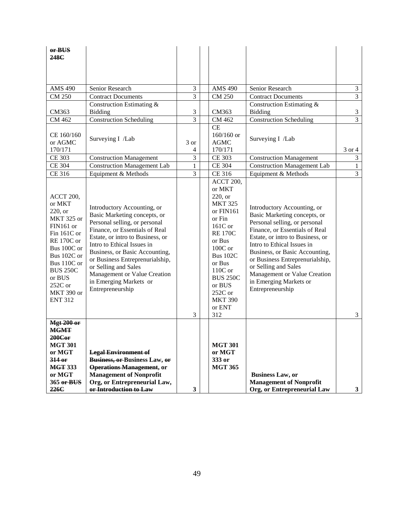| or BUS<br>248C                                                                                                                                                                                                                     |                                                                                                                                                                                                                                                                                                                                                                             |                         |                                                                                                                                                                                                                                                         |                                                                                                                                                                                                                                                                                                                                                                             |                |
|------------------------------------------------------------------------------------------------------------------------------------------------------------------------------------------------------------------------------------|-----------------------------------------------------------------------------------------------------------------------------------------------------------------------------------------------------------------------------------------------------------------------------------------------------------------------------------------------------------------------------|-------------------------|---------------------------------------------------------------------------------------------------------------------------------------------------------------------------------------------------------------------------------------------------------|-----------------------------------------------------------------------------------------------------------------------------------------------------------------------------------------------------------------------------------------------------------------------------------------------------------------------------------------------------------------------------|----------------|
| <b>AMS 490</b>                                                                                                                                                                                                                     | Senior Research                                                                                                                                                                                                                                                                                                                                                             | 3                       | <b>AMS 490</b>                                                                                                                                                                                                                                          | Senior Research                                                                                                                                                                                                                                                                                                                                                             | $\mathfrak 3$  |
| CM 250                                                                                                                                                                                                                             | <b>Contract Documents</b>                                                                                                                                                                                                                                                                                                                                                   | 3                       | <b>CM 250</b>                                                                                                                                                                                                                                           | <b>Contract Documents</b>                                                                                                                                                                                                                                                                                                                                                   | 3              |
|                                                                                                                                                                                                                                    | Construction Estimating &                                                                                                                                                                                                                                                                                                                                                   |                         |                                                                                                                                                                                                                                                         | Construction Estimating &                                                                                                                                                                                                                                                                                                                                                   |                |
| CM363                                                                                                                                                                                                                              | <b>Bidding</b>                                                                                                                                                                                                                                                                                                                                                              | 3                       | CM363                                                                                                                                                                                                                                                   | <b>Bidding</b>                                                                                                                                                                                                                                                                                                                                                              | $\mathfrak{Z}$ |
| CM 462                                                                                                                                                                                                                             | <b>Construction Scheduling</b>                                                                                                                                                                                                                                                                                                                                              | 3                       | CM 462                                                                                                                                                                                                                                                  | <b>Construction Scheduling</b>                                                                                                                                                                                                                                                                                                                                              | 3              |
| CE 160/160<br>or AGMC<br>170/171                                                                                                                                                                                                   | Surveying I /Lab                                                                                                                                                                                                                                                                                                                                                            | 3 or<br>4               | <b>CE</b><br>$160/160$ or<br><b>AGMC</b><br>170/171                                                                                                                                                                                                     | Surveying I /Lab                                                                                                                                                                                                                                                                                                                                                            | 3 or 4         |
| CE 303                                                                                                                                                                                                                             | <b>Construction Management</b>                                                                                                                                                                                                                                                                                                                                              | 3                       | <b>CE 303</b>                                                                                                                                                                                                                                           | <b>Construction Management</b>                                                                                                                                                                                                                                                                                                                                              | $\mathfrak{Z}$ |
| <b>CE 304</b>                                                                                                                                                                                                                      | <b>Construction Management Lab</b>                                                                                                                                                                                                                                                                                                                                          | 1                       | <b>CE 304</b>                                                                                                                                                                                                                                           | <b>Construction Management Lab</b>                                                                                                                                                                                                                                                                                                                                          | $\mathbf{1}$   |
| CE 316                                                                                                                                                                                                                             | Equipment & Methods                                                                                                                                                                                                                                                                                                                                                         | 3                       | CE 316                                                                                                                                                                                                                                                  | Equipment & Methods                                                                                                                                                                                                                                                                                                                                                         | 3              |
| <b>ACCT 200,</b><br>or MKT<br>220, or<br><b>MKT 325 or</b><br>FIN161 or<br>Fin $161C$ or<br><b>RE 170C or</b><br>Bus 100C or<br>Bus 102C or<br>Bus 110C or<br><b>BUS 250C</b><br>or BUS<br>252C or<br>MKT 390 or<br><b>ENT 312</b> | Introductory Accounting, or<br>Basic Marketing concepts, or<br>Personal selling, or personal<br>Finance, or Essentials of Real<br>Estate, or intro to Business, or<br>Intro to Ethical Issues in<br>Business, or Basic Accounting,<br>or Business Entreprenurialship,<br>or Selling and Sales<br>Management or Value Creation<br>in Emerging Markets or<br>Entrepreneurship | 3                       | <b>ACCT 200,</b><br>or MKT<br>220, or<br><b>MKT 325</b><br>or FIN161<br>or Fin<br>161C or<br><b>RE 170C</b><br>or Bus<br>$100C$ or<br><b>Bus 102C</b><br>or Bus<br>$110C$ or<br><b>BUS 250C</b><br>or BUS<br>252C or<br><b>MKT 390</b><br>or ENT<br>312 | Introductory Accounting, or<br>Basic Marketing concepts, or<br>Personal selling, or personal<br>Finance, or Essentials of Real<br>Estate, or intro to Business, or<br>Intro to Ethical Issues in<br>Business, or Basic Accounting,<br>or Business Entreprenurialship,<br>or Selling and Sales<br>Management or Value Creation<br>in Emerging Markets or<br>Entrepreneurship | 3              |
| <b>Mgt 200 or</b><br><b>MGMT</b><br>200Cor<br><b>MGT 301</b><br>or MGT<br>314 or<br><b>MGT 333</b><br>or MGT<br>365 or BUS<br>226C                                                                                                 | <b>Legal Environment of</b><br><b>Business, or Business Law, or</b><br><b>Operations Management, or</b><br><b>Management of Nonprofit</b><br>Org, or Entrepreneurial Law,<br>or Introduction to Law                                                                                                                                                                         | $\overline{\mathbf{3}}$ | <b>MGT 301</b><br>or MGT<br>333 or<br><b>MGT 365</b>                                                                                                                                                                                                    | <b>Business Law, or</b><br><b>Management of Nonprofit</b><br>Org, or Entrepreneurial Law                                                                                                                                                                                                                                                                                    | $3^{\circ}$    |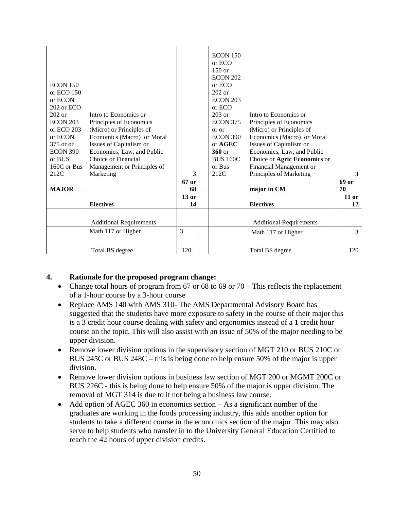| <b>ECON 150</b><br>or ECO $150$<br>or ECON<br>202 or ECO<br>$202$ or<br><b>ECON 203</b><br>or ECO 203<br>or ECON<br>375 or or<br><b>ECON 390</b><br>or BUS<br>160C or Bus | Intro to Economics or<br>Principles of Economics<br>(Micro) or Principles of<br>Economics (Macro) or Moral<br>Issues of Capitalism or<br>Economics, Law, and Public<br>Choice or Financial<br>Management or Principles of | 3       | <b>ECON 150</b><br>or ECO<br>$150$ or<br><b>ECON 202</b><br>or ECO<br>$202$ or<br><b>ECON 203</b><br>or ECO<br>$203$ or<br><b>ECON 375</b><br>or or<br><b>ECON 390</b><br>or AGEC<br>$360$ or<br><b>BUS 160C</b><br>or Bus | Intro to Economics or<br>Principles of Economics<br>(Micro) or Principles of<br>Economics (Macro) or Moral<br>Issues of Capitalism or<br>Economics, Law, and Public<br>Choice or Agric Economics or<br>Financial Management or |            |
|---------------------------------------------------------------------------------------------------------------------------------------------------------------------------|---------------------------------------------------------------------------------------------------------------------------------------------------------------------------------------------------------------------------|---------|----------------------------------------------------------------------------------------------------------------------------------------------------------------------------------------------------------------------------|--------------------------------------------------------------------------------------------------------------------------------------------------------------------------------------------------------------------------------|------------|
| 212C                                                                                                                                                                      | Marketing                                                                                                                                                                                                                 | 67 or   | 212C                                                                                                                                                                                                                       | Principles of Marketing                                                                                                                                                                                                        | 3<br>69 or |
| <b>MAJOR</b>                                                                                                                                                              |                                                                                                                                                                                                                           | 68      |                                                                                                                                                                                                                            | major in CM                                                                                                                                                                                                                    | 70         |
|                                                                                                                                                                           |                                                                                                                                                                                                                           | $13$ or |                                                                                                                                                                                                                            |                                                                                                                                                                                                                                | $11$ or    |
|                                                                                                                                                                           | <b>Electives</b>                                                                                                                                                                                                          | 14      |                                                                                                                                                                                                                            | <b>Electives</b>                                                                                                                                                                                                               | 12         |
|                                                                                                                                                                           |                                                                                                                                                                                                                           |         |                                                                                                                                                                                                                            |                                                                                                                                                                                                                                |            |
|                                                                                                                                                                           | <b>Additional Requirements</b>                                                                                                                                                                                            |         |                                                                                                                                                                                                                            | <b>Additional Requirements</b>                                                                                                                                                                                                 |            |
|                                                                                                                                                                           | Math 117 or Higher                                                                                                                                                                                                        | 3       |                                                                                                                                                                                                                            | Math 117 or Higher                                                                                                                                                                                                             | 3          |
|                                                                                                                                                                           |                                                                                                                                                                                                                           |         |                                                                                                                                                                                                                            |                                                                                                                                                                                                                                |            |
|                                                                                                                                                                           | Total BS degree                                                                                                                                                                                                           | 120     |                                                                                                                                                                                                                            | Total BS degree                                                                                                                                                                                                                | 120        |

#### **4. Rationale for the proposed program change:**

- Change total hours of program from 67 or 68 to 69 or  $70 -$ This reflects the replacement of a 1-hour course by a 3-hour course
- Replace AMS 140 with AMS 310- The AMS Departmental Advisory Board has suggested that the students have more exposure to safety in the course of their major this is a 3 credit hour course dealing with safety and ergonomics instead of a 1 credit hour course on the topic. This will also assist with an issue of 50% of the major needing to be upper division.
- Remove lower division options in the supervisory section of MGT 210 or BUS 210C or BUS 245C or BUS 248C – this is being done to help ensure 50% of the major is upper division.
- Remove lower division options in business law section of MGT 200 or MGMT 200C or BUS 226C - this is being done to help ensure 50% of the major is upper division. The removal of MGT 314 is due to it not being a business law course.
- Add option of AGEC 360 in economics section As a significant number of the graduates are working in the foods processing industry, this adds another option for students to take a different course in the economics section of the major. This may also serve to help students who transfer in to the University General Education Certified to reach the 42 hours of upper division credits.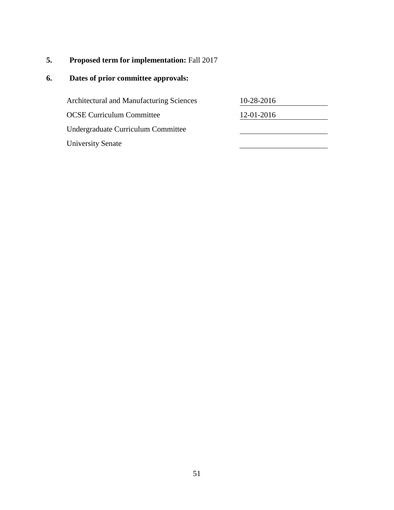# **5. Proposed term for implementation:** Fall 2017

| <b>Architectural and Manufacturing Sciences</b> | 10-28-2016 |  |
|-------------------------------------------------|------------|--|
| <b>OCSE Curriculum Committee</b>                | 12-01-2016 |  |
| Undergraduate Curriculum Committee              |            |  |
| <b>University Senate</b>                        |            |  |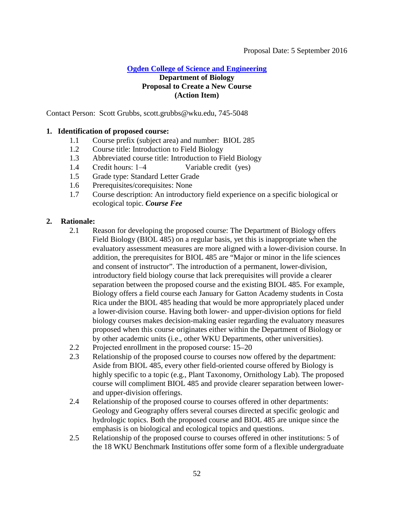**[Ogden College of Science and Engineering](#page-2-0)**

# <span id="page-51-0"></span>**Department of Biology Proposal to Create a New Course (Action Item)**

Contact Person: Scott Grubbs, scott.grubbs@wku.edu, 745-5048

# **1. Identification of proposed course:**

- 1.1 Course prefix (subject area) and number: BIOL 285
- 1.2 Course title: Introduction to Field Biology
- 1.3 Abbreviated course title: Introduction to Field Biology
- 1.4 Credit hours: 1–4 Variable credit (yes)
- 1.5 Grade type: Standard Letter Grade
- 1.6 Prerequisites/corequisites: None
- 1.7 Course description: An introductory field experience on a specific biological or ecological topic. *Course Fee*

# **2. Rationale:**

- 2.1 Reason for developing the proposed course: The Department of Biology offers Field Biology (BIOL 485) on a regular basis, yet this is inappropriate when the evaluatory assessment measures are more aligned with a lower-division course. In addition, the prerequisites for BIOL 485 are "Major or minor in the life sciences and consent of instructor". The introduction of a permanent, lower-division, introductory field biology course that lack prerequisites will provide a clearer separation between the proposed course and the existing BIOL 485. For example, Biology offers a field course each January for Gatton Academy students in Costa Rica under the BIOL 485 heading that would be more appropriately placed under a lower-division course. Having both lower- and upper-division options for field biology courses makes decision-making easier regarding the evaluatory measures proposed when this course originates either within the Department of Biology or by other academic units (i.e., other WKU Departments, other universities).
- 2.2 Projected enrollment in the proposed course: 15–20
- 2.3 Relationship of the proposed course to courses now offered by the department: Aside from BIOL 485, every other field-oriented course offered by Biology is highly specific to a topic (e.g., Plant Taxonomy, Ornithology Lab). The proposed course will compliment BIOL 485 and provide clearer separation between lowerand upper-division offerings.
- 2.4 Relationship of the proposed course to courses offered in other departments: Geology and Geography offers several courses directed at specific geologic and hydrologic topics. Both the proposed course and BIOL 485 are unique since the emphasis is on biological and ecological topics and questions.
- 2.5 Relationship of the proposed course to courses offered in other institutions: 5 of the 18 WKU Benchmark Institutions offer some form of a flexible undergraduate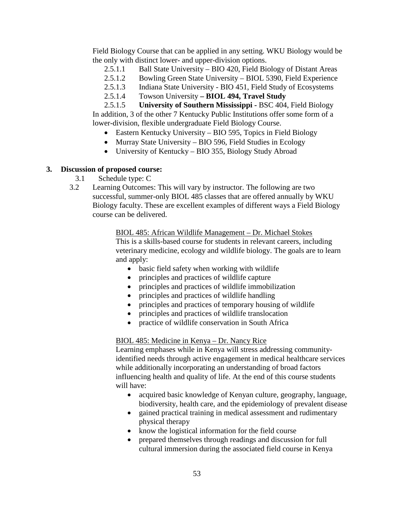Field Biology Course that can be applied in any setting. WKU Biology would be the only with distinct lower- and upper-division options.

- 2.5.1.1 Ball State University BIO 420, Field Biology of Distant Areas
- 2.5.1.2 Bowling Green State University BIOL 5390, Field Experience
- 2.5.1.3 Indiana State University BIO 451, Field Study of Ecosystems
- 2.5.1.4 Towson University **– BIOL 494, Travel Study**

2.5.1.5 **University of Southern Mississippi -** BSC 404, Field Biology In addition, 3 of the other 7 Kentucky Public Institutions offer some form of a lower-division, flexible undergraduate Field Biology Course.

- Eastern Kentucky University BIO 595, Topics in Field Biology
- Murray State University BIO 596, Field Studies in Ecology
- University of Kentucky BIO 355, Biology Study Abroad

#### **3. Discussion of proposed course:**

- 3.1 Schedule type: C
- 3.2 Learning Outcomes: This will vary by instructor. The following are two successful, summer-only BIOL 485 classes that are offered annually by WKU Biology faculty. These are excellent examples of different ways a Field Biology course can be delivered.

BIOL 485: African Wildlife Management – Dr. Michael Stokes This is a skills-based course for students in relevant careers, including veterinary medicine, ecology and wildlife biology. The goals are to learn and apply:

- basic field safety when working with wildlife
- principles and practices of wildlife capture
- principles and practices of wildlife immobilization
- principles and practices of wildlife handling
- principles and practices of temporary housing of wildlife
- principles and practices of wildlife translocation
- practice of wildlife conservation in South Africa

#### BIOL 485: Medicine in Kenya – Dr. Nancy Rice

Learning emphases while in Kenya will stress addressing communityidentified needs through active engagement in medical healthcare services while additionally incorporating an understanding of broad factors influencing health and quality of life. At the end of this course students will have:

- acquired basic knowledge of Kenyan culture, geography, language, biodiversity, health care, and the epidemiology of prevalent disease
- gained practical training in medical assessment and rudimentary physical therapy
- know the logistical information for the field course
- prepared themselves through readings and discussion for full cultural immersion during the associated field course in Kenya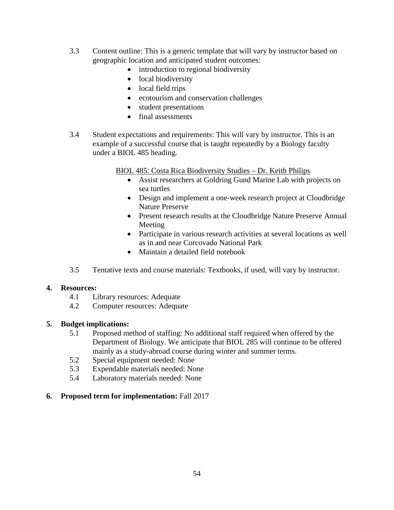- 3.3 Content outline: This is a generic template that will vary by instructor based on geographic location and anticipated student outcomes:
	- introduction to regional biodiversity
	- local biodiversity
	- local field trips
	- ecotourism and conservation challenges
	- student presentations
	- final assessments
- 3.4 Student expectations and requirements: This will vary by instructor. This is an example of a successful course that is taught repeatedly by a Biology faculty under a BIOL 485 heading.

#### BIOL 485: Costa Rica Biodiversity Studies – Dr. Keith Philips

- Assist researchers at Goldring Gund Marine Lab with projects on sea turtles
- Design and implement a one-week research project at Cloudbridge Nature Preserve
- Present research results at the Cloudbridge Nature Preserve Annual Meeting
- Participate in various research activities at several locations as well as in and near Corcovado National Park
- Maintain a detailed field notebook
- 3.5 Tentative texts and course materials: Textbooks, if used, will vary by instructor.

#### **4. Resources:**

- 4.1 Library resources: Adequate
- 4.2 Computer resources: Adequate

#### **5. Budget implications:**

- 5.1 Proposed method of staffing: No additional staff required when offered by the Department of Biology. We anticipate that BIOL 285 will continue to be offered mainly as a study-abroad course during winter and summer terms.
- 5.2 Special equipment needed: None
- 5.3 Expendable materials needed: None
- 5.4 Laboratory materials needed: None

#### **6. Proposed term for implementation:** Fall 2017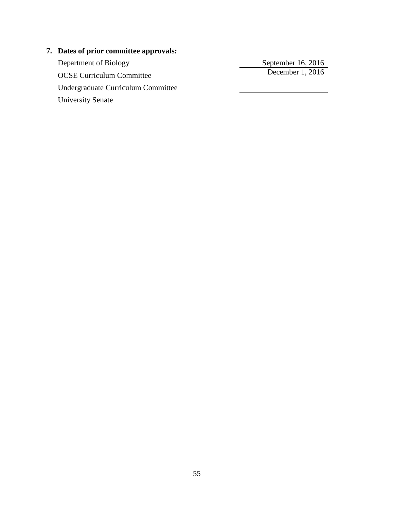# **7. Dates of prior committee approvals:**

Department of Biology<br>
OCSE Curriculum Committee<br>
OCSE Curriculum Committee OCSE Curriculum Committee Undergraduate Curriculum Committee University Senate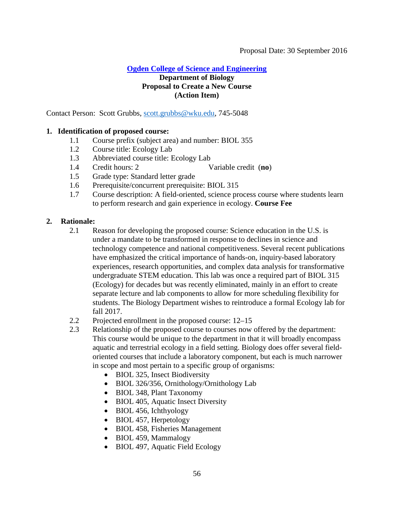**[Ogden College of Science and Engineering](#page-2-0)**

# <span id="page-55-0"></span>**Department of Biology Proposal to Create a New Course (Action Item)**

Contact Person: Scott Grubbs, [scott.grubbs@wku.edu,](mailto:scott.grubbs@wku.edu) 745-5048

# **1. Identification of proposed course:**

- 1.1 Course prefix (subject area) and number: BIOL 355
- 1.2 Course title: Ecology Lab
- 1.3 Abbreviated course title: Ecology Lab
- 1.4 Credit hours: 2 Variable credit (**no**)
- 1.5 Grade type: Standard letter grade
- 1.6 Prerequisite/concurrent prerequisite: BIOL 315
- 1.7 Course description: A field-oriented, science process course where students learn to perform research and gain experience in ecology. **Course Fee**

# **2. Rationale:**

- 2.1 Reason for developing the proposed course: Science education in the U.S. is under a mandate to be transformed in response to declines in science and technology competence and national competitiveness. Several recent publications have emphasized the critical importance of hands-on, inquiry-based laboratory experiences, research opportunities, and complex data analysis for transformative undergraduate STEM education. This lab was once a required part of BIOL 315 (Ecology) for decades but was recently eliminated, mainly in an effort to create separate lecture and lab components to allow for more scheduling flexibility for students. The Biology Department wishes to reintroduce a formal Ecology lab for fall 2017.
- 2.2 Projected enrollment in the proposed course: 12–15
- 2.3 Relationship of the proposed course to courses now offered by the department: This course would be unique to the department in that it will broadly encompass aquatic and terrestrial ecology in a field setting. Biology does offer several fieldoriented courses that include a laboratory component, but each is much narrower in scope and most pertain to a specific group of organisms:
	- BIOL 325, Insect Biodiversity
	- BIOL 326/356, Ornithology/Ornithology Lab
	- BIOL 348, Plant Taxonomy
	- BIOL 405, Aquatic Insect Diversity
	- BIOL 456, Ichthyology
	- BIOL 457, Herpetology
	- BIOL 458, Fisheries Management
	- BIOL 459, Mammalogy
	- BIOL 497, Aquatic Field Ecology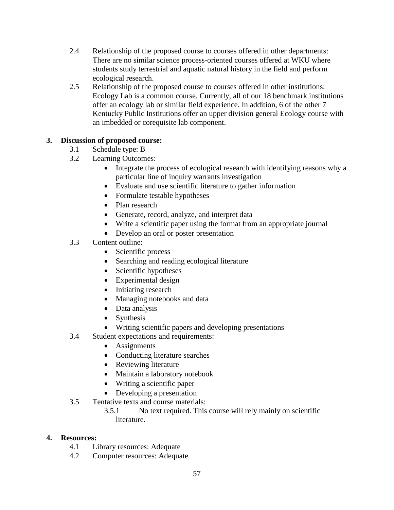- 2.4 Relationship of the proposed course to courses offered in other departments: There are no similar science process-oriented courses offered at WKU where students study terrestrial and aquatic natural history in the field and perform ecological research.
- 2.5 Relationship of the proposed course to courses offered in other institutions: Ecology Lab is a common course. Currently, all of our 18 benchmark institutions offer an ecology lab or similar field experience. In addition, 6 of the other 7 Kentucky Public Institutions offer an upper division general Ecology course with an imbedded or corequisite lab component.

# **3. Discussion of proposed course:**

- 3.1 Schedule type: B
- 3.2 Learning Outcomes:
	- Integrate the process of ecological research with identifying reasons why a particular line of inquiry warrants investigation
	- Evaluate and use scientific literature to gather information
	- Formulate testable hypotheses
	- Plan research
	- Generate, record, analyze, and interpret data
	- Write a scientific paper using the format from an appropriate journal
	- Develop an oral or poster presentation
- 3.3 Content outline:
	- Scientific process
	- Searching and reading ecological literature
	- Scientific hypotheses
	- Experimental design
	- Initiating research
	- Managing notebooks and data
	- Data analysis
	- Synthesis
	- Writing scientific papers and developing presentations
- 3.4 Student expectations and requirements:
	- Assignments
	- Conducting literature searches
	- Reviewing literature
	- Maintain a laboratory notebook
	- Writing a scientific paper
	- Developing a presentation
- 3.5 Tentative texts and course materials:
	- 3.5.1 No text required. This course will rely mainly on scientific literature.

# **4. Resources:**

- 4.1 Library resources: Adequate
- 4.2 Computer resources: Adequate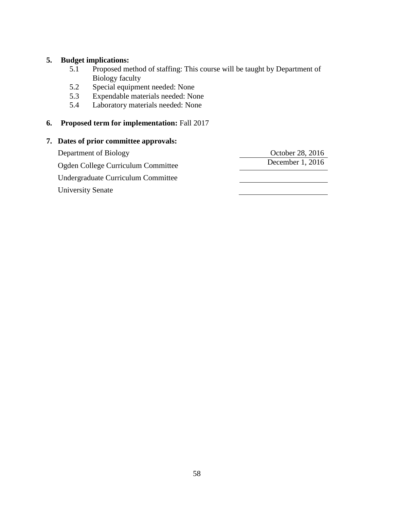# **5. Budget implications:**

- 5.1 Proposed method of staffing: This course will be taught by Department of Biology faculty
- 5.2 Special equipment needed: None
- 5.3 Expendable materials needed: None
- 5.4 Laboratory materials needed: None

### **6. Proposed term for implementation:** Fall 2017

#### **7. Dates of prior committee approvals:**

Department of Biology<br>
October 28, 2016<br>
October 28, 2016<br>
December 1, 2016 Ogden College Curriculum Committee Undergraduate Curriculum Committee University Senate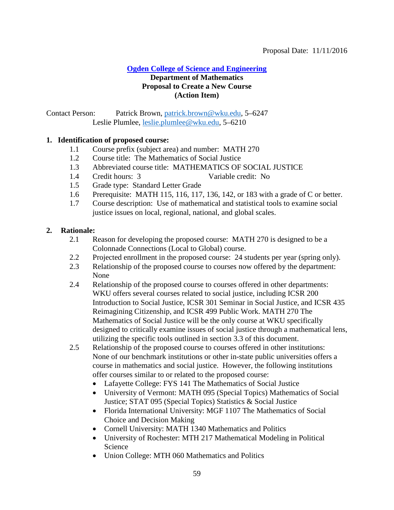# **[Ogden College of Science and Engineering](#page-2-0)**

### <span id="page-58-0"></span>**Department of Mathematics Proposal to Create a New Course (Action Item)**

Contact Person: Patrick Brown, [patrick.brown@wku.edu,](mailto:patrick.brown@wku.edu) 5–6247 Leslie Plumlee, [leslie.plumlee@wku.edu,](mailto:leslie.plumlee@wku.edu) 5–6210

#### **1. Identification of proposed course:**

- 1.1 Course prefix (subject area) and number: MATH 270
- 1.2 Course title: The Mathematics of Social Justice
- 1.3 Abbreviated course title: MATHEMATICS OF SOCIAL JUSTICE
- 1.4 Credit hours: 3 Variable credit: No
- 1.5 Grade type: Standard Letter Grade
- 1.6 Prerequisite: MATH 115, 116, 117, 136, 142, or 183 with a grade of C or better.
- 1.7 Course description: Use of mathematical and statistical tools to examine social justice issues on local, regional, national, and global scales.

#### **2. Rationale:**

- 2.1 Reason for developing the proposed course: MATH 270 is designed to be a Colonnade Connections (Local to Global) course.
- 2.2 Projected enrollment in the proposed course: 24 students per year (spring only).
- 2.3 Relationship of the proposed course to courses now offered by the department: None
- 2.4 Relationship of the proposed course to courses offered in other departments: WKU offers several courses related to social justice, including ICSR 200 Introduction to Social Justice, ICSR 301 Seminar in Social Justice, and ICSR 435 Reimagining Citizenship, and ICSR 499 Public Work. MATH 270 The Mathematics of Social Justice will be the only course at WKU specifically designed to critically examine issues of social justice through a mathematical lens, utilizing the specific tools outlined in section 3.3 of this document.
- 2.5 Relationship of the proposed course to courses offered in other institutions: None of our benchmark institutions or other in-state public universities offers a course in mathematics and social justice. However, the following institutions offer courses similar to or related to the proposed course:
	- Lafayette College: FYS 141 The Mathematics of Social Justice
	- University of Vermont: MATH 095 (Special Topics) Mathematics of Social Justice; STAT 095 (Special Topics) Statistics & Social Justice
	- Florida International University: MGF 1107 The Mathematics of Social Choice and Decision Making
	- Cornell University: MATH 1340 Mathematics and Politics
	- University of Rochester: MTH 217 Mathematical Modeling in Political Science
	- Union College: MTH 060 Mathematics and Politics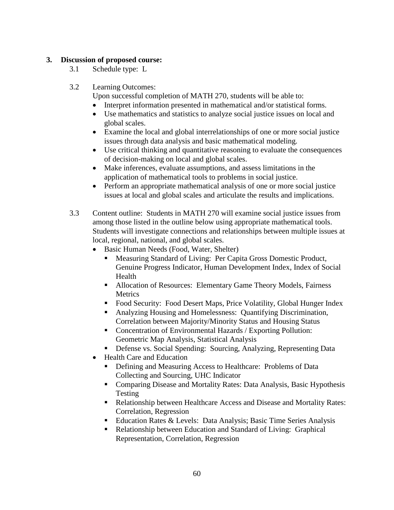### **3. Discussion of proposed course:**

- 3.1 Schedule type: L
- 3.2 Learning Outcomes:

Upon successful completion of MATH 270, students will be able to:

- Interpret information presented in mathematical and/or statistical forms.
- Use mathematics and statistics to analyze social justice issues on local and global scales.
- Examine the local and global interrelationships of one or more social justice issues through data analysis and basic mathematical modeling.
- Use critical thinking and quantitative reasoning to evaluate the consequences of decision-making on local and global scales.
- Make inferences, evaluate assumptions, and assess limitations in the application of mathematical tools to problems in social justice.
- Perform an appropriate mathematical analysis of one or more social justice issues at local and global scales and articulate the results and implications.
- 3.3 Content outline: Students in MATH 270 will examine social justice issues from among those listed in the outline below using appropriate mathematical tools. Students will investigate connections and relationships between multiple issues at local, regional, national, and global scales.
	- Basic Human Needs (Food, Water, Shelter)
		- Measuring Standard of Living: Per Capita Gross Domestic Product, Genuine Progress Indicator, Human Development Index, Index of Social Health
		- **Allocation of Resources: Elementary Game Theory Models, Fairness Metrics**
		- Food Security: Food Desert Maps, Price Volatility, Global Hunger Index
		- Analyzing Housing and Homelessness: Quantifying Discrimination, Correlation between Majority/Minority Status and Housing Status
		- Concentration of Environmental Hazards / Exporting Pollution: Geometric Map Analysis, Statistical Analysis
		- Defense vs. Social Spending: Sourcing, Analyzing, Representing Data
	- Health Care and Education
		- Defining and Measuring Access to Healthcare: Problems of Data Collecting and Sourcing, UHC Indicator
		- Comparing Disease and Mortality Rates: Data Analysis, Basic Hypothesis Testing
		- Relationship between Healthcare Access and Disease and Mortality Rates: Correlation, Regression
		- Education Rates & Levels: Data Analysis; Basic Time Series Analysis
		- Relationship between Education and Standard of Living: Graphical Representation, Correlation, Regression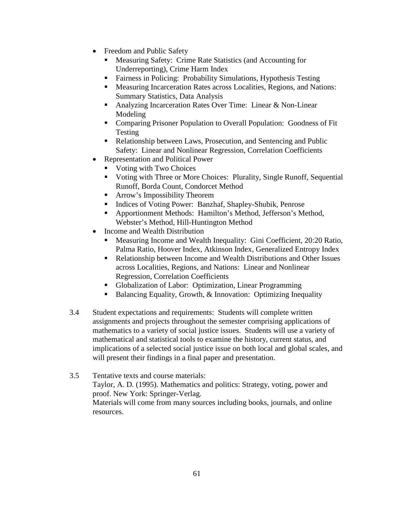- Freedom and Public Safety
	- Measuring Safety: Crime Rate Statistics (and Accounting for Underreporting), Crime Harm Index
	- Fairness in Policing: Probability Simulations, Hypothesis Testing
	- Measuring Incarceration Rates across Localities, Regions, and Nations: Summary Statistics, Data Analysis
	- Analyzing Incarceration Rates Over Time: Linear & Non-Linear Modeling
	- **Comparing Prisoner Population to Overall Population: Goodness of Fit** Testing
	- Relationship between Laws, Prosecution, and Sentencing and Public Safety: Linear and Nonlinear Regression, Correlation Coefficients
- Representation and Political Power
	- Voting with Two Choices
	- Voting with Three or More Choices: Plurality, Single Runoff, Sequential Runoff, Borda Count, Condorcet Method
	- **Arrow's Impossibility Theorem**
	- Indices of Voting Power: Banzhaf, Shapley-Shubik, Penrose
	- Apportionment Methods: Hamilton's Method, Jefferson's Method, Webster's Method, Hill-Huntington Method
- Income and Wealth Distribution
	- Measuring Income and Wealth Inequality: Gini Coefficient, 20:20 Ratio, Palma Ratio, Hoover Index, Atkinson Index, Generalized Entropy Index
	- Relationship between Income and Wealth Distributions and Other Issues across Localities, Regions, and Nations: Linear and Nonlinear Regression, Correlation Coefficients
	- Globalization of Labor: Optimization, Linear Programming
	- Balancing Equality, Growth, & Innovation: Optimizing Inequality
- 3.4 Student expectations and requirements: Students will complete written assignments and projects throughout the semester comprising applications of mathematics to a variety of social justice issues. Students will use a variety of mathematical and statistical tools to examine the history, current status, and implications of a selected social justice issue on both local and global scales, and will present their findings in a final paper and presentation.
- 3.5 Tentative texts and course materials: Taylor, A. D. (1995). Mathematics and politics: Strategy, voting, power and proof. New York: Springer-Verlag. Materials will come from many sources including books, journals, and online resources.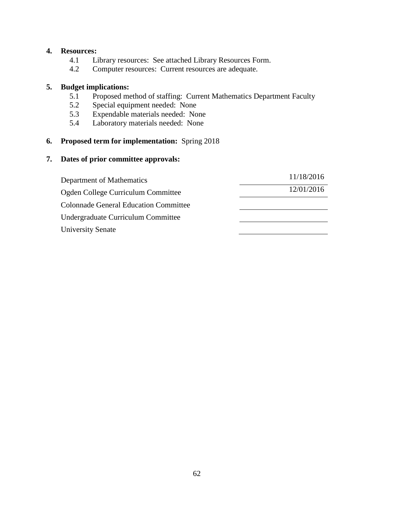#### **4. Resources:**

- 4.1 Library resources: See attached Library Resources Form.
- 4.2 Computer resources: Current resources are adequate.

#### **5. Budget implications:**

- 5.1 Proposed method of staffing: Current Mathematics Department Faculty
- 5.2 Special equipment needed: None
- 5.3 Expendable materials needed: None
- 5.4 Laboratory materials needed: None

# **6. Proposed term for implementation:** Spring 2018

| Department of Mathematics                    | 11/18/2016 |
|----------------------------------------------|------------|
| Ogden College Curriculum Committee           | 12/01/2016 |
| <b>Colonnade General Education Committee</b> |            |
| Undergraduate Curriculum Committee           |            |
| <b>University Senate</b>                     |            |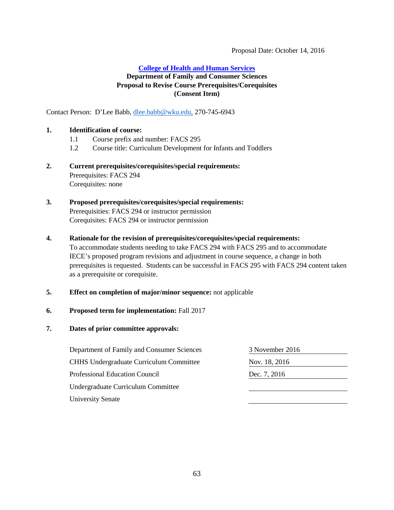#### Proposal Date: October 14, 2016

#### <span id="page-62-0"></span>**[College of Health and Human Services](#page-2-1)**

#### **Department of Family and Consumer Sciences Proposal to Revise Course Prerequisites/Corequisites (Consent Item)**

Contact Person: D'Lee Babb, [dlee.babb@wku.edu,](mailto:dlee.babb@wku.edu) 270-745-6943

#### **1. Identification of course:**

- 1.1 Course prefix and number: FACS 295
- 1.2 Course title: Curriculum Development for Infants and Toddlers

#### **2. Current prerequisites/corequisites/special requirements:** Prerequisites: FACS 294 Corequisites: none

#### **3. Proposed prerequisites/corequisites/special requirements:** Prerequisities: FACS 294 or instructor permission Corequisites: FACS 294 or instructor permission

#### **4. Rationale for the revision of prerequisites/corequisites/special requirements:**

To accommodate students needing to take FACS 294 with FACS 295 and to accommodate IECE's proposed program revisions and adjustment in course sequence, a change in both prerequisites is requested. Students can be successful in FACS 295 with FACS 294 content taken as a prerequisite or corequisite.

#### **5. Effect on completion of major/minor sequence:** not applicable

#### **6. Proposed term for implementation:** Fall 2017

| Department of Family and Consumer Sciences     | 3 November 2016 |
|------------------------------------------------|-----------------|
| <b>CHHS Undergraduate Curriculum Committee</b> | Nov. 18, 2016   |
| Professional Education Council                 | Dec. 7, 2016    |
| Undergraduate Curriculum Committee             |                 |
| <b>University Senate</b>                       |                 |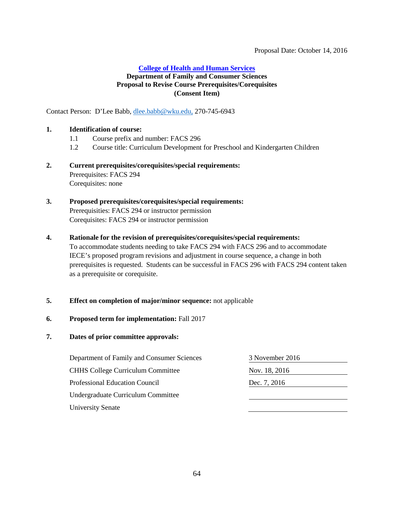#### Proposal Date: October 14, 2016

#### <span id="page-63-0"></span>**College [of Health and Human Services](#page-2-1) Department of Family and Consumer Sciences Proposal to Revise Course Prerequisites/Corequisites (Consent Item)**

Contact Person: D'Lee Babb, [dlee.babb@wku.edu,](mailto:dlee.babb@wku.edu) 270-745-6943

#### **1. Identification of course:**

- 1.1 Course prefix and number: FACS 296
- 1.2 Course title: Curriculum Development for Preschool and Kindergarten Children

#### **2. Current prerequisites/corequisites/special requirements:** Prerequisites: FACS 294 Corequisites: none

#### **3. Proposed prerequisites/corequisites/special requirements:** Prerequisities: FACS 294 or instructor permission Corequisites: FACS 294 or instructor permission

#### **4. Rationale for the revision of prerequisites/corequisites/special requirements:**

To accommodate students needing to take FACS 294 with FACS 296 and to accommodate IECE's proposed program revisions and adjustment in course sequence, a change in both prerequisites is requested. Students can be successful in FACS 296 with FACS 294 content taken as a prerequisite or corequisite.

#### **5. Effect on completion of major/minor sequence:** not applicable

#### **6. Proposed term for implementation:** Fall 2017

| Department of Family and Consumer Sciences | 3 November 2016 |
|--------------------------------------------|-----------------|
| <b>CHHS College Curriculum Committee</b>   | Nov. 18, 2016   |
| Professional Education Council             | Dec. 7, 2016    |
| Undergraduate Curriculum Committee         |                 |
| <b>University Senate</b>                   |                 |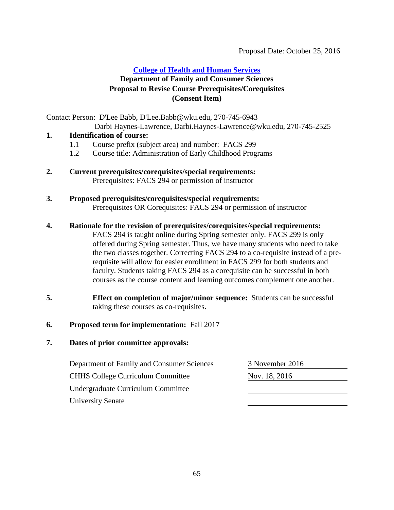#### <span id="page-64-0"></span>**[College of Health and Human Services](#page-2-1)**

# **Department of Family and Consumer Sciences Proposal to Revise Course Prerequisites/Corequisites (Consent Item)**

Contact Person: D'Lee Babb, D'Lee.Babb@wku.edu, 270-745-6943

Darbi Haynes-Lawrence, Darbi.Haynes-Lawrence@wku.edu, 270-745-2525

### **1. Identification of course:**

- 1.1 Course prefix (subject area) and number: FACS 299
- 1.2 Course title: Administration of Early Childhood Programs
- **2. Current prerequisites/corequisites/special requirements:**  Prerequisites: FACS 294 or permission of instructor
- **3. Proposed prerequisites/corequisites/special requirements:**  Prerequisites OR Corequisites: FACS 294 or permission of instructor

#### **4. Rationale for the revision of prerequisites/corequisites/special requirements:**

FACS 294 is taught online during Spring semester only. FACS 299 is only offered during Spring semester. Thus, we have many students who need to take the two classes together. Correcting FACS 294 to a co-requisite instead of a prerequisite will allow for easier enrollment in FACS 299 for both students and faculty. Students taking FACS 294 as a corequisite can be successful in both courses as the course content and learning outcomes complement one another.

**5. Effect on completion of major/minor sequence:** Students can be successful taking these courses as co-requisites.

#### **6. Proposed term for implementation:** Fall 2017

| Department of Family and Consumer Sciences | 3 November 2016 |
|--------------------------------------------|-----------------|
| <b>CHHS College Curriculum Committee</b>   | Nov. 18, 2016   |
| Undergraduate Curriculum Committee         |                 |
| <b>University Senate</b>                   |                 |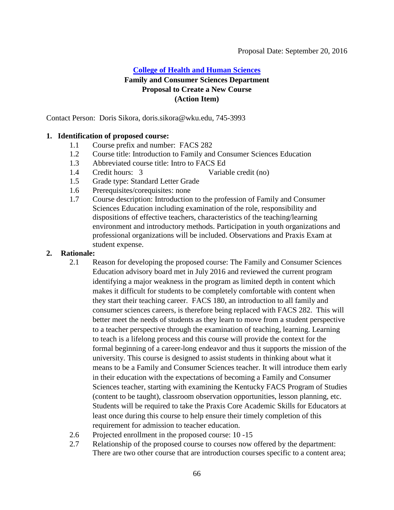# <span id="page-65-0"></span>**[College of Health and Human Sciences](#page-2-1) Family and Consumer Sciences Department Proposal to Create a New Course (Action Item)**

Contact Person: Doris Sikora, doris.sikora@wku.edu, 745-3993

#### **1. Identification of proposed course:**

- 1.1 Course prefix and number: FACS 282
- 1.2 Course title: Introduction to Family and Consumer Sciences Education
- 1.3 Abbreviated course title: Intro to FACS Ed
- 
- 1.4 Credit hours: 3 Variable credit (no)
- 1.5 Grade type: Standard Letter Grade
- 1.6 Prerequisites/corequisites: none
- 1.7 Course description: Introduction to the profession of Family and Consumer Sciences Education including examination of the role, responsibility and dispositions of effective teachers, characteristics of the teaching/learning environment and introductory methods. Participation in youth organizations and professional organizations will be included. Observations and Praxis Exam at student expense.

#### **2. Rationale:**

- 2.1 Reason for developing the proposed course: The Family and Consumer Sciences Education advisory board met in July 2016 and reviewed the current program identifying a major weakness in the program as limited depth in content which makes it difficult for students to be completely comfortable with content when they start their teaching career. FACS 180, an introduction to all family and consumer sciences careers, is therefore being replaced with FACS 282. This will better meet the needs of students as they learn to move from a student perspective to a teacher perspective through the examination of teaching, learning. Learning to teach is a lifelong process and this course will provide the context for the formal beginning of a career-long endeavor and thus it supports the mission of the university. This course is designed to assist students in thinking about what it means to be a Family and Consumer Sciences teacher. It will introduce them early in their education with the expectations of becoming a Family and Consumer Sciences teacher, starting with examining the Kentucky FACS Program of Studies (content to be taught), classroom observation opportunities, lesson planning, etc. Students will be required to take the Praxis Core Academic Skills for Educators at least once during this course to help ensure their timely completion of this requirement for admission to teacher education.
- 2.6 Projected enrollment in the proposed course: 10 -15
- 2.7 Relationship of the proposed course to courses now offered by the department: There are two other course that are introduction courses specific to a content area;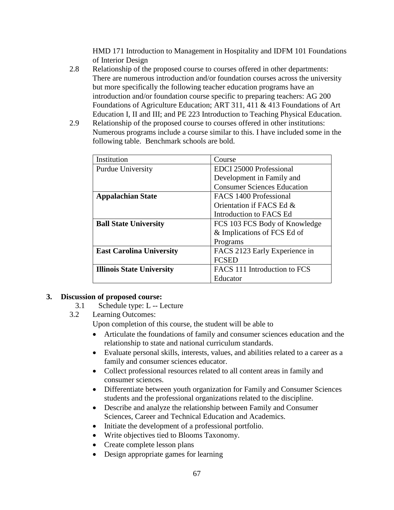HMD 171 Introduction to Management in Hospitality and IDFM 101 Foundations of Interior Design

- 2.8 Relationship of the proposed course to courses offered in other departments: There are numerous introduction and/or foundation courses across the university but more specifically the following teacher education programs have an introduction and/or foundation course specific to preparing teachers: AG 200 Foundations of Agriculture Education; ART 311, 411 & 413 Foundations of Art Education I, II and III; and PE 223 Introduction to Teaching Physical Education.
- 2.9 Relationship of the proposed course to courses offered in other institutions: Numerous programs include a course similar to this. I have included some in the following table. Benchmark schools are bold.

| Institution                      | Course                             |
|----------------------------------|------------------------------------|
| Purdue University                | EDCI 25000 Professional            |
|                                  | Development in Family and          |
|                                  | <b>Consumer Sciences Education</b> |
| <b>Appalachian State</b>         | FACS 1400 Professional             |
|                                  | Orientation if FACS Ed &           |
|                                  | Introduction to FACS Ed            |
| <b>Ball State University</b>     | FCS 103 FCS Body of Knowledge      |
|                                  | & Implications of FCS Ed of        |
|                                  | Programs                           |
| <b>East Carolina University</b>  | FACS 2123 Early Experience in      |
|                                  | <b>FCSED</b>                       |
| <b>Illinois State University</b> | FACS 111 Introduction to FCS       |
|                                  | Educator                           |

#### **3. Discussion of proposed course:**

- 3.1 Schedule type: L -- Lecture
- 3.2 Learning Outcomes:

Upon completion of this course, the student will be able to

- Articulate the foundations of family and consumer sciences education and the relationship to state and national curriculum standards.
- Evaluate personal skills, interests, values, and abilities related to a career as a family and consumer sciences educator.
- Collect professional resources related to all content areas in family and consumer sciences.
- Differentiate between youth organization for Family and Consumer Sciences students and the professional organizations related to the discipline.
- Describe and analyze the relationship between Family and Consumer Sciences, Career and Technical Education and Academics.
- Initiate the development of a professional portfolio.
- Write objectives tied to Blooms Taxonomy.
- Create complete lesson plans
- Design appropriate games for learning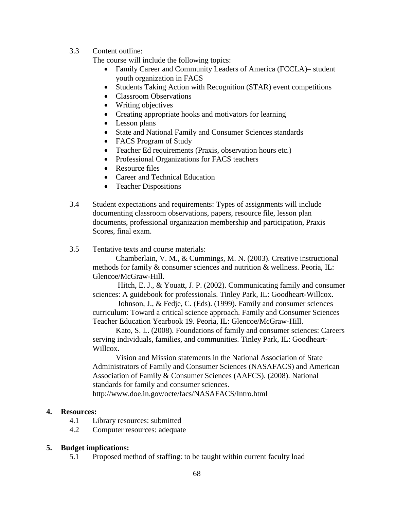3.3 Content outline:

The course will include the following topics:

- Family Career and Community Leaders of America (FCCLA)– student youth organization in FACS
- Students Taking Action with Recognition (STAR) event competitions
- Classroom Observations
- Writing objectives
- Creating appropriate hooks and motivators for learning
- Lesson plans
- State and National Family and Consumer Sciences standards
- FACS Program of Study
- Teacher Ed requirements (Praxis, observation hours etc.)
- Professional Organizations for FACS teachers
- Resource files
- Career and Technical Education
- Teacher Dispositions
- 3.4 Student expectations and requirements: Types of assignments will include documenting classroom observations, papers, resource file, lesson plan documents, professional organization membership and participation, Praxis Scores, final exam.
- 3.5 Tentative texts and course materials:

Chamberlain, V. M., & Cummings, M. N. (2003). Creative instructional methods for family & consumer sciences and nutrition & wellness. Peoria, IL: Glencoe/McGraw-Hill.

Hitch, E. J., & Youatt, J. P. (2002). Communicating family and consumer sciences: A guidebook for professionals. Tinley Park, IL: Goodheart-Willcox.

Johnson, J., & Fedje, C. (Eds). (1999). Family and consumer sciences curriculum: Toward a critical science approach. Family and Consumer Sciences Teacher Education Yearbook 19. Peoria, IL: Glencoe/McGraw-Hill.

Kato, S. L. (2008). Foundations of family and consumer sciences: Careers serving individuals, families, and communities. Tinley Park, IL: Goodheart-Willcox.

Vision and Mission statements in the National Association of State Administrators of Family and Consumer Sciences (NASAFACS) and American Association of Family & Consumer Sciences (AAFCS). (2008). National standards for family and consumer sciences.

http://www.doe.in.gov/octe/facs/NASAFACS/Intro.html

#### **4. Resources:**

- 4.1 Library resources: submitted
- 4.2 Computer resources: adequate

#### **5. Budget implications:**

5.1 Proposed method of staffing: to be taught within current faculty load